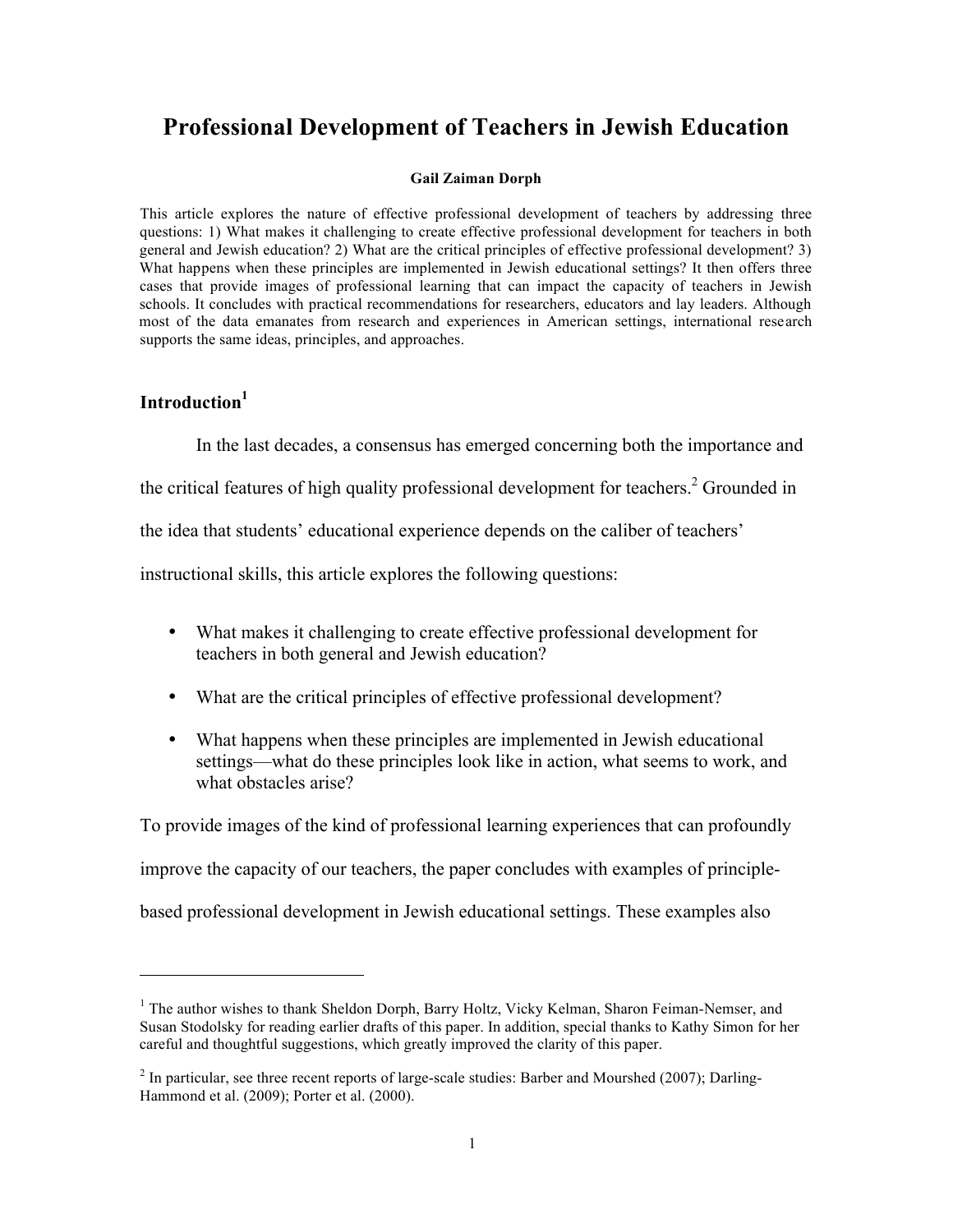# **Professional Development of Teachers in Jewish Education**

#### **Gail Zaiman Dorph**

This article explores the nature of effective professional development of teachers by addressing three questions: 1) What makes it challenging to create effective professional development for teachers in both general and Jewish education? 2) What are the critical principles of effective professional development? 3) What happens when these principles are implemented in Jewish educational settings? It then offers three cases that provide images of professional learning that can impact the capacity of teachers in Jewish schools. It concludes with practical recommendations for researchers, educators and lay leaders. Although most of the data emanates from research and experiences in American settings, international research supports the same ideas, principles, and approaches.

## **Introduction1**

In the last decades, a consensus has emerged concerning both the importance and

the critical features of high quality professional development for teachers.<sup>2</sup> Grounded in

the idea that students' educational experience depends on the caliber of teachers'

instructional skills, this article explores the following questions:

- What makes it challenging to create effective professional development for teachers in both general and Jewish education?
- What are the critical principles of effective professional development?
- What happens when these principles are implemented in Jewish educational settings—what do these principles look like in action, what seems to work, and what obstacles arise?

To provide images of the kind of professional learning experiences that can profoundly improve the capacity of our teachers, the paper concludes with examples of principle-

based professional development in Jewish educational settings. These examples also

<sup>&</sup>lt;sup>1</sup> The author wishes to thank Sheldon Dorph, Barry Holtz, Vicky Kelman, Sharon Feiman-Nemser, and Susan Stodolsky for reading earlier drafts of this paper. In addition, special thanks to Kathy Simon for her careful and thoughtful suggestions, which greatly improved the clarity of this paper.

 $<sup>2</sup>$  In particular, see three recent reports of large-scale studies: Barber and Mourshed (2007); Darling-</sup> Hammond et al. (2009); Porter et al. (2000).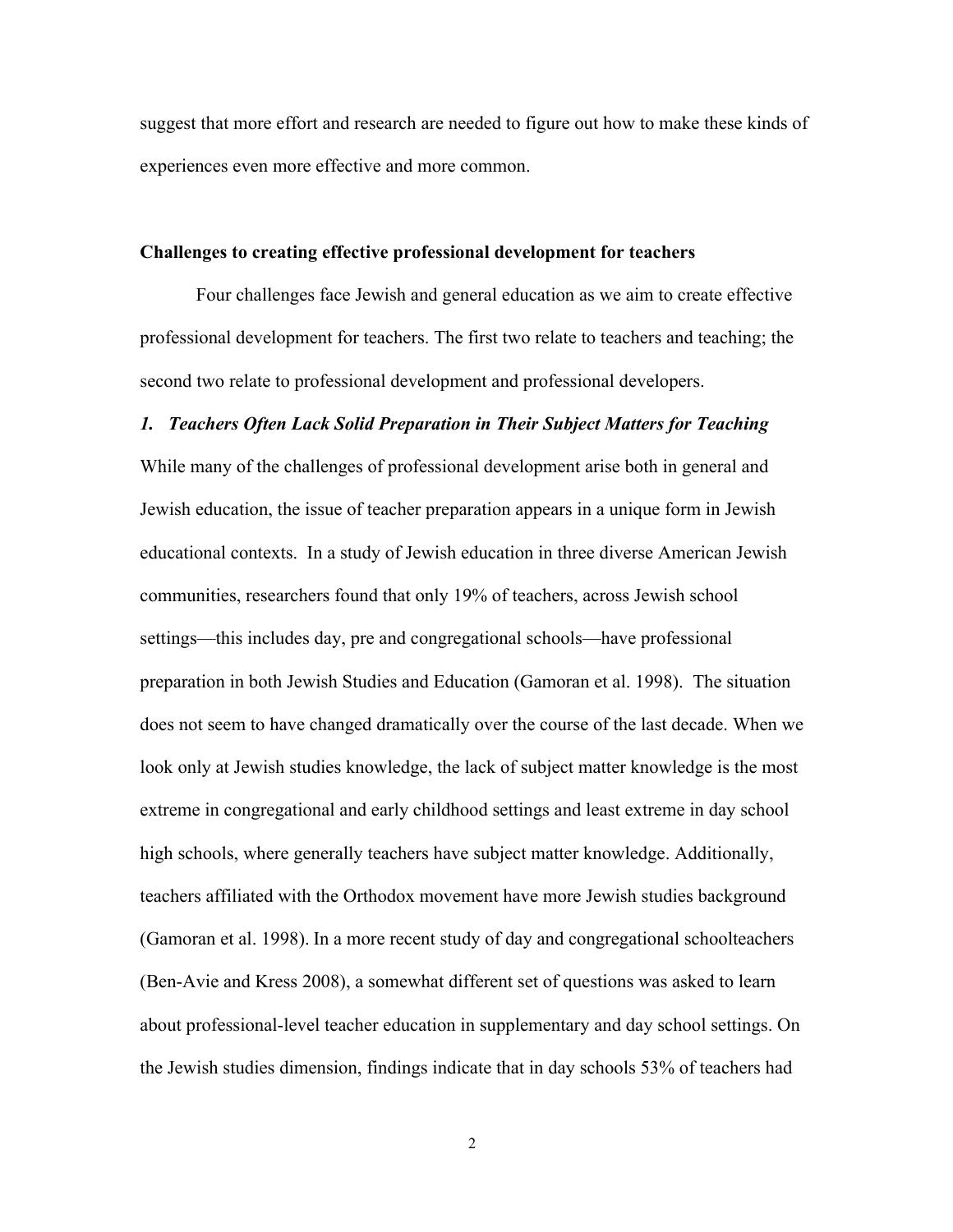suggest that more effort and research are needed to figure out how to make these kinds of experiences even more effective and more common.

## **Challenges to creating effective professional development for teachers**

Four challenges face Jewish and general education as we aim to create effective professional development for teachers. The first two relate to teachers and teaching; the second two relate to professional development and professional developers.

#### *1. Teachers Often Lack Solid Preparation in Their Subject Matters for Teaching*

While many of the challenges of professional development arise both in general and Jewish education, the issue of teacher preparation appears in a unique form in Jewish educational contexts. In a study of Jewish education in three diverse American Jewish communities, researchers found that only 19% of teachers, across Jewish school settings—this includes day, pre and congregational schools—have professional preparation in both Jewish Studies and Education (Gamoran et al. 1998). The situation does not seem to have changed dramatically over the course of the last decade. When we look only at Jewish studies knowledge, the lack of subject matter knowledge is the most extreme in congregational and early childhood settings and least extreme in day school high schools, where generally teachers have subject matter knowledge. Additionally, teachers affiliated with the Orthodox movement have more Jewish studies background (Gamoran et al. 1998). In a more recent study of day and congregational schoolteachers (Ben-Avie and Kress 2008), a somewhat different set of questions was asked to learn about professional-level teacher education in supplementary and day school settings. On the Jewish studies dimension, findings indicate that in day schools 53% of teachers had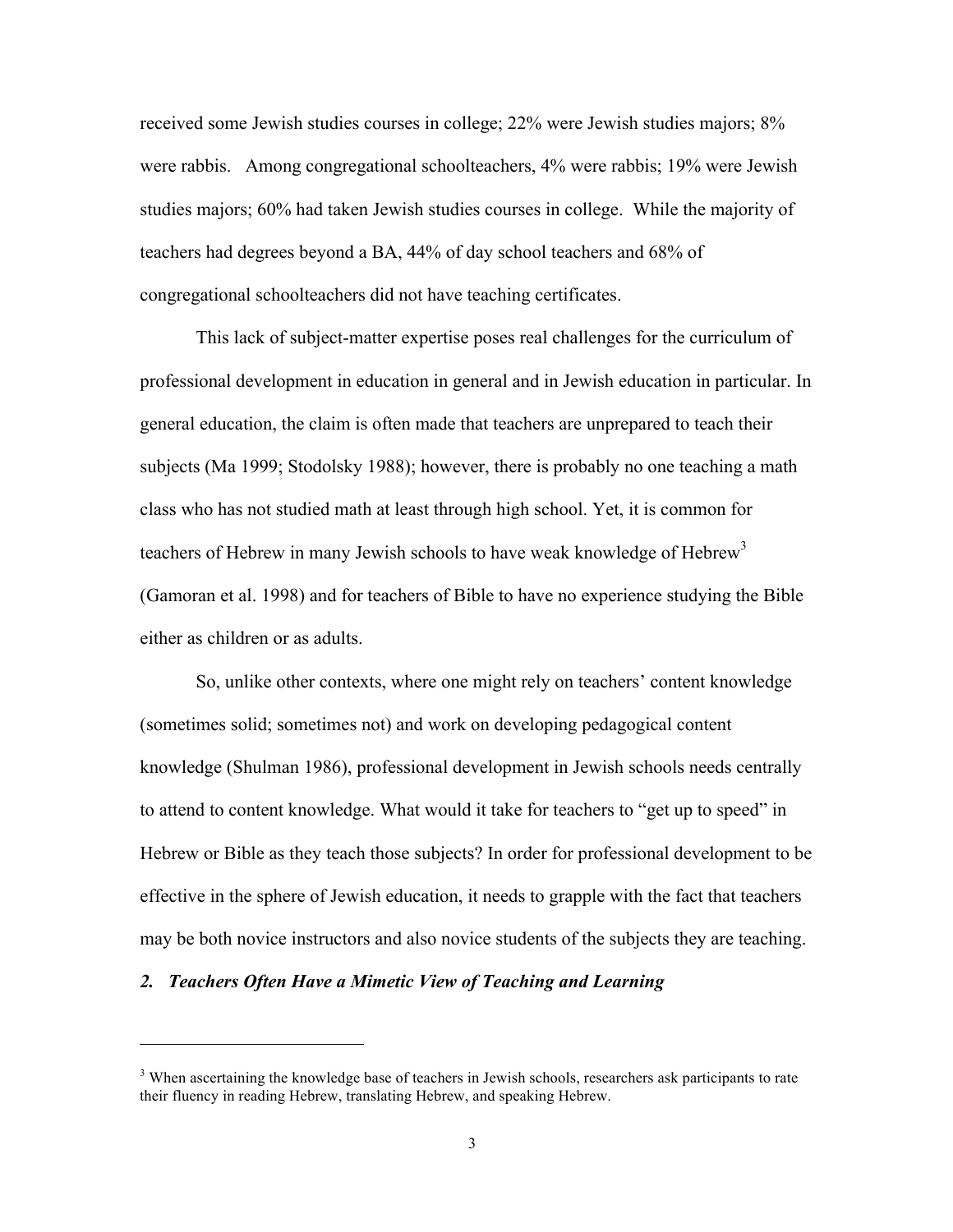received some Jewish studies courses in college; 22% were Jewish studies majors; 8% were rabbis. Among congregational schoolteachers, 4% were rabbis; 19% were Jewish studies majors; 60% had taken Jewish studies courses in college. While the majority of teachers had degrees beyond a BA, 44% of day school teachers and 68% of congregational schoolteachers did not have teaching certificates.

This lack of subject-matter expertise poses real challenges for the curriculum of professional development in education in general and in Jewish education in particular. In general education, the claim is often made that teachers are unprepared to teach their subjects (Ma 1999; Stodolsky 1988); however, there is probably no one teaching a math class who has not studied math at least through high school. Yet, it is common for teachers of Hebrew in many Jewish schools to have weak knowledge of Hebrew<sup>3</sup> (Gamoran et al. 1998) and for teachers of Bible to have no experience studying the Bible either as children or as adults.

So, unlike other contexts, where one might rely on teachers' content knowledge (sometimes solid; sometimes not) and work on developing pedagogical content knowledge (Shulman 1986), professional development in Jewish schools needs centrally to attend to content knowledge. What would it take for teachers to "get up to speed" in Hebrew or Bible as they teach those subjects? In order for professional development to be effective in the sphere of Jewish education, it needs to grapple with the fact that teachers may be both novice instructors and also novice students of the subjects they are teaching.

# *2. Teachers Often Have a Mimetic View of Teaching and Learning*

 $3$  When ascertaining the knowledge base of teachers in Jewish schools, researchers ask participants to rate their fluency in reading Hebrew, translating Hebrew, and speaking Hebrew.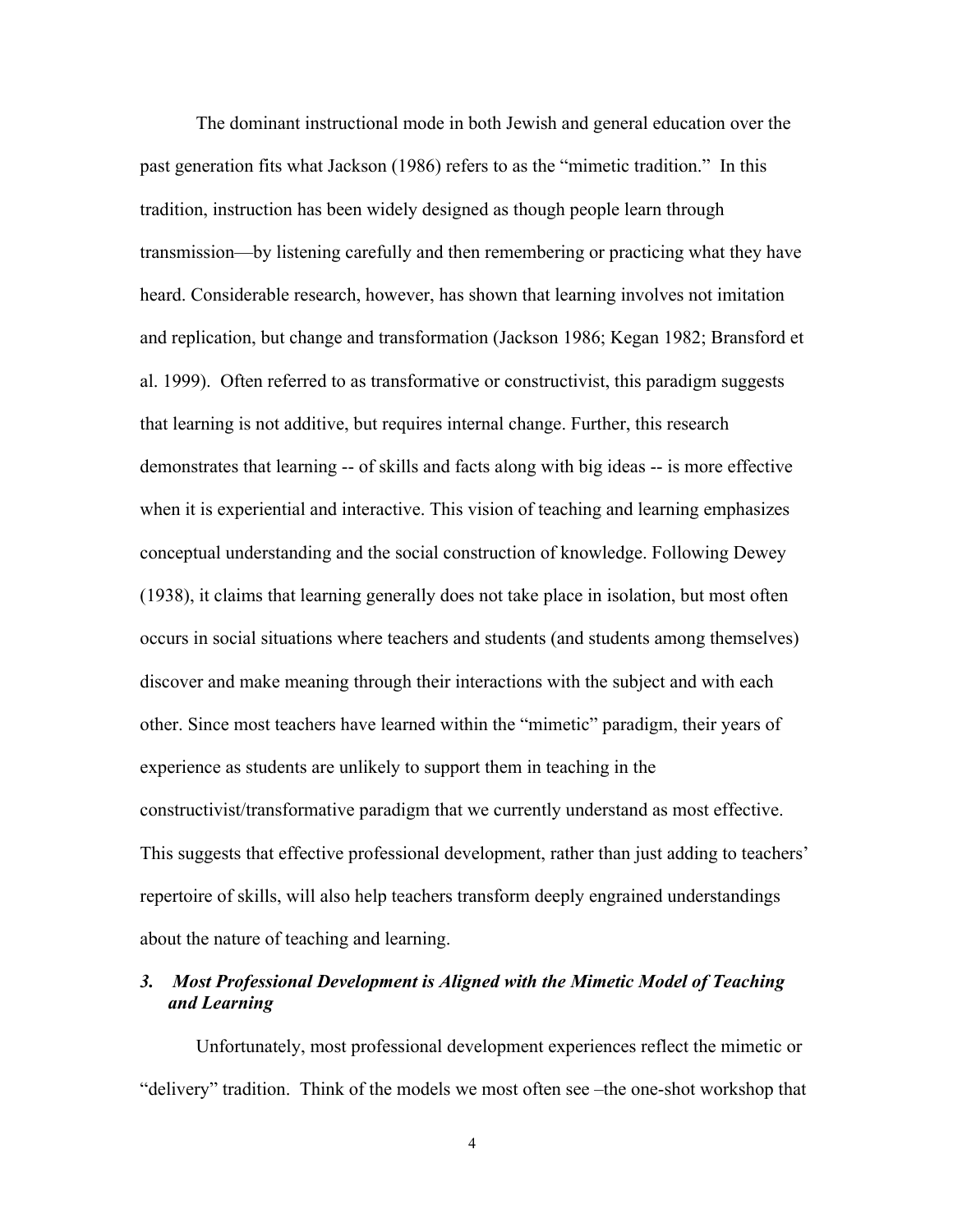The dominant instructional mode in both Jewish and general education over the past generation fits what Jackson (1986) refers to as the "mimetic tradition." In this tradition, instruction has been widely designed as though people learn through transmission—by listening carefully and then remembering or practicing what they have heard. Considerable research, however, has shown that learning involves not imitation and replication, but change and transformation (Jackson 1986; Kegan 1982; Bransford et al. 1999). Often referred to as transformative or constructivist, this paradigm suggests that learning is not additive, but requires internal change. Further, this research demonstrates that learning -- of skills and facts along with big ideas -- is more effective when it is experiential and interactive. This vision of teaching and learning emphasizes conceptual understanding and the social construction of knowledge. Following Dewey (1938), it claims that learning generally does not take place in isolation, but most often occurs in social situations where teachers and students (and students among themselves) discover and make meaning through their interactions with the subject and with each other. Since most teachers have learned within the "mimetic" paradigm, their years of experience as students are unlikely to support them in teaching in the constructivist/transformative paradigm that we currently understand as most effective. This suggests that effective professional development, rather than just adding to teachers' repertoire of skills, will also help teachers transform deeply engrained understandings about the nature of teaching and learning.

# *3. Most Professional Development is Aligned with the Mimetic Model of Teaching and Learning*

Unfortunately, most professional development experiences reflect the mimetic or "delivery" tradition. Think of the models we most often see –the one-shot workshop that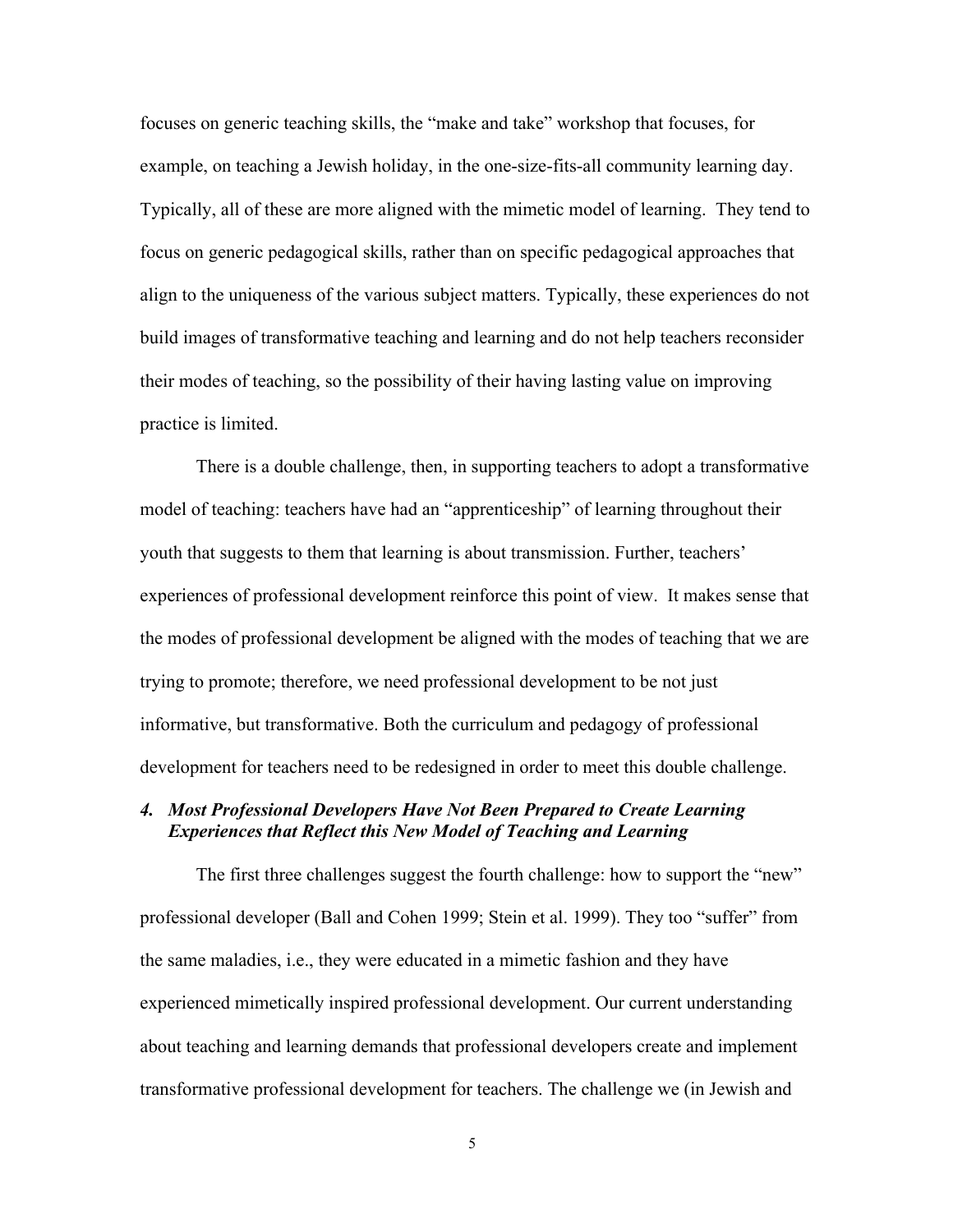focuses on generic teaching skills, the "make and take" workshop that focuses, for example, on teaching a Jewish holiday, in the one-size-fits-all community learning day. Typically, all of these are more aligned with the mimetic model of learning. They tend to focus on generic pedagogical skills, rather than on specific pedagogical approaches that align to the uniqueness of the various subject matters. Typically, these experiences do not build images of transformative teaching and learning and do not help teachers reconsider their modes of teaching, so the possibility of their having lasting value on improving practice is limited.

There is a double challenge, then, in supporting teachers to adopt a transformative model of teaching: teachers have had an "apprenticeship" of learning throughout their youth that suggests to them that learning is about transmission. Further, teachers' experiences of professional development reinforce this point of view. It makes sense that the modes of professional development be aligned with the modes of teaching that we are trying to promote; therefore, we need professional development to be not just informative, but transformative. Both the curriculum and pedagogy of professional development for teachers need to be redesigned in order to meet this double challenge.

# *4. Most Professional Developers Have Not Been Prepared to Create Learning Experiences that Reflect this New Model of Teaching and Learning*

The first three challenges suggest the fourth challenge: how to support the "new" professional developer (Ball and Cohen 1999; Stein et al. 1999). They too "suffer" from the same maladies, i.e., they were educated in a mimetic fashion and they have experienced mimetically inspired professional development. Our current understanding about teaching and learning demands that professional developers create and implement transformative professional development for teachers. The challenge we (in Jewish and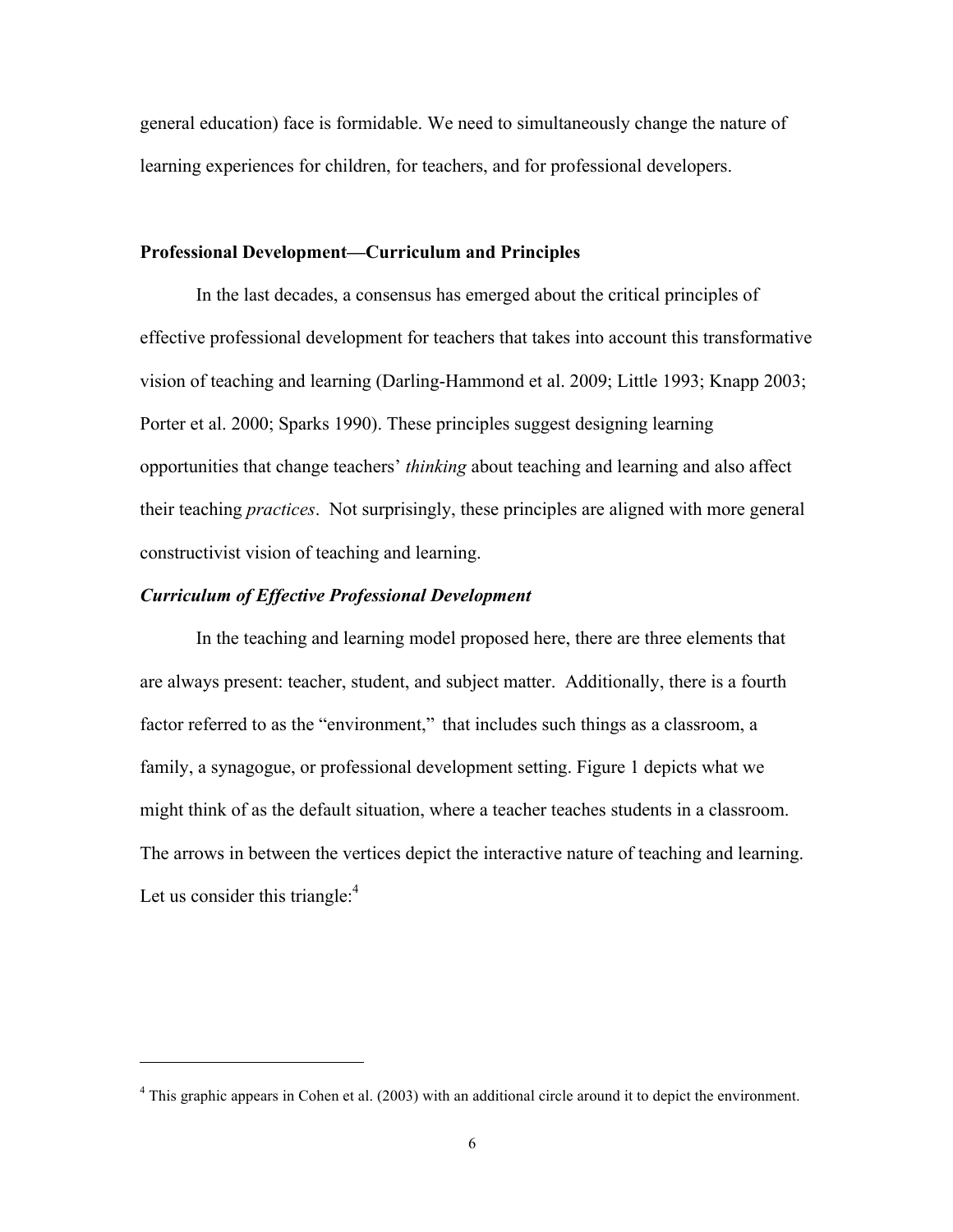general education) face is formidable. We need to simultaneously change the nature of learning experiences for children, for teachers, and for professional developers.

## **Professional Development—Curriculum and Principles**

In the last decades, a consensus has emerged about the critical principles of effective professional development for teachers that takes into account this transformative vision of teaching and learning (Darling-Hammond et al. 2009; Little 1993; Knapp 2003; Porter et al. 2000; Sparks 1990). These principles suggest designing learning opportunities that change teachers' *thinking* about teaching and learning and also affect their teaching *practices*. Not surprisingly, these principles are aligned with more general constructivist vision of teaching and learning.

## *Curriculum of Effective Professional Development*

 $\overline{a}$ 

In the teaching and learning model proposed here, there are three elements that are always present: teacher, student, and subject matter. Additionally, there is a fourth factor referred to as the "environment," that includes such things as a classroom, a family, a synagogue, or professional development setting. Figure 1 depicts what we might think of as the default situation, where a teacher teaches students in a classroom. The arrows in between the vertices depict the interactive nature of teaching and learning. Let us consider this triangle: $4$ 

 $4$  This graphic appears in Cohen et al. (2003) with an additional circle around it to depict the environment.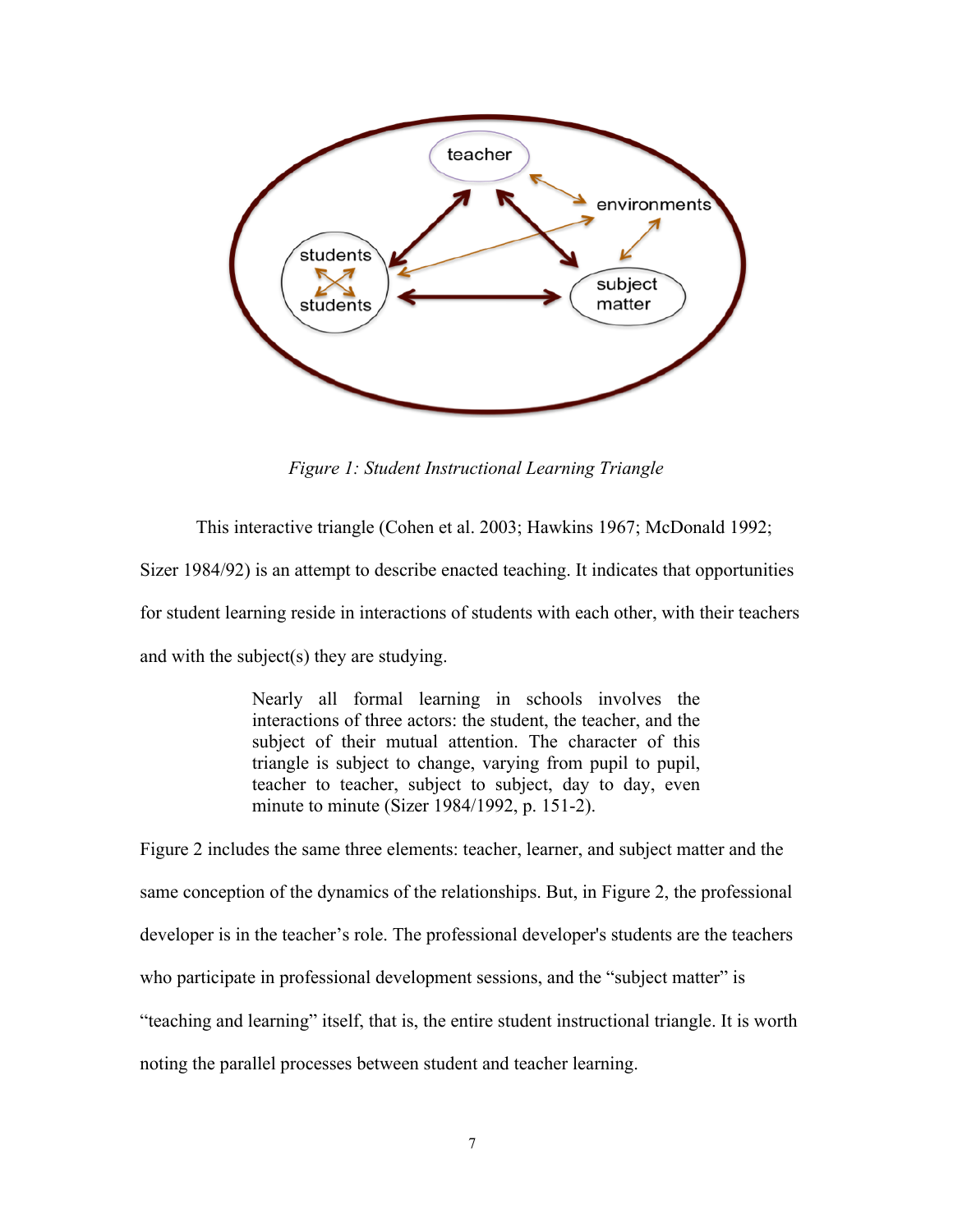

*Figure 1: Student Instructional Learning Triangle*

This interactive triangle (Cohen et al. 2003; Hawkins 1967; McDonald 1992; Sizer 1984/92) is an attempt to describe enacted teaching. It indicates that opportunities for student learning reside in interactions of students with each other, with their teachers and with the subject(s) they are studying.

> Nearly all formal learning in schools involves the interactions of three actors: the student, the teacher, and the subject of their mutual attention. The character of this triangle is subject to change, varying from pupil to pupil, teacher to teacher, subject to subject, day to day, even minute to minute (Sizer 1984/1992, p. 151-2).

Figure 2 includes the same three elements: teacher, learner, and subject matter and the same conception of the dynamics of the relationships. But, in Figure 2, the professional developer is in the teacher's role. The professional developer's students are the teachers who participate in professional development sessions, and the "subject matter" is "teaching and learning" itself, that is, the entire student instructional triangle. It is worth noting the parallel processes between student and teacher learning.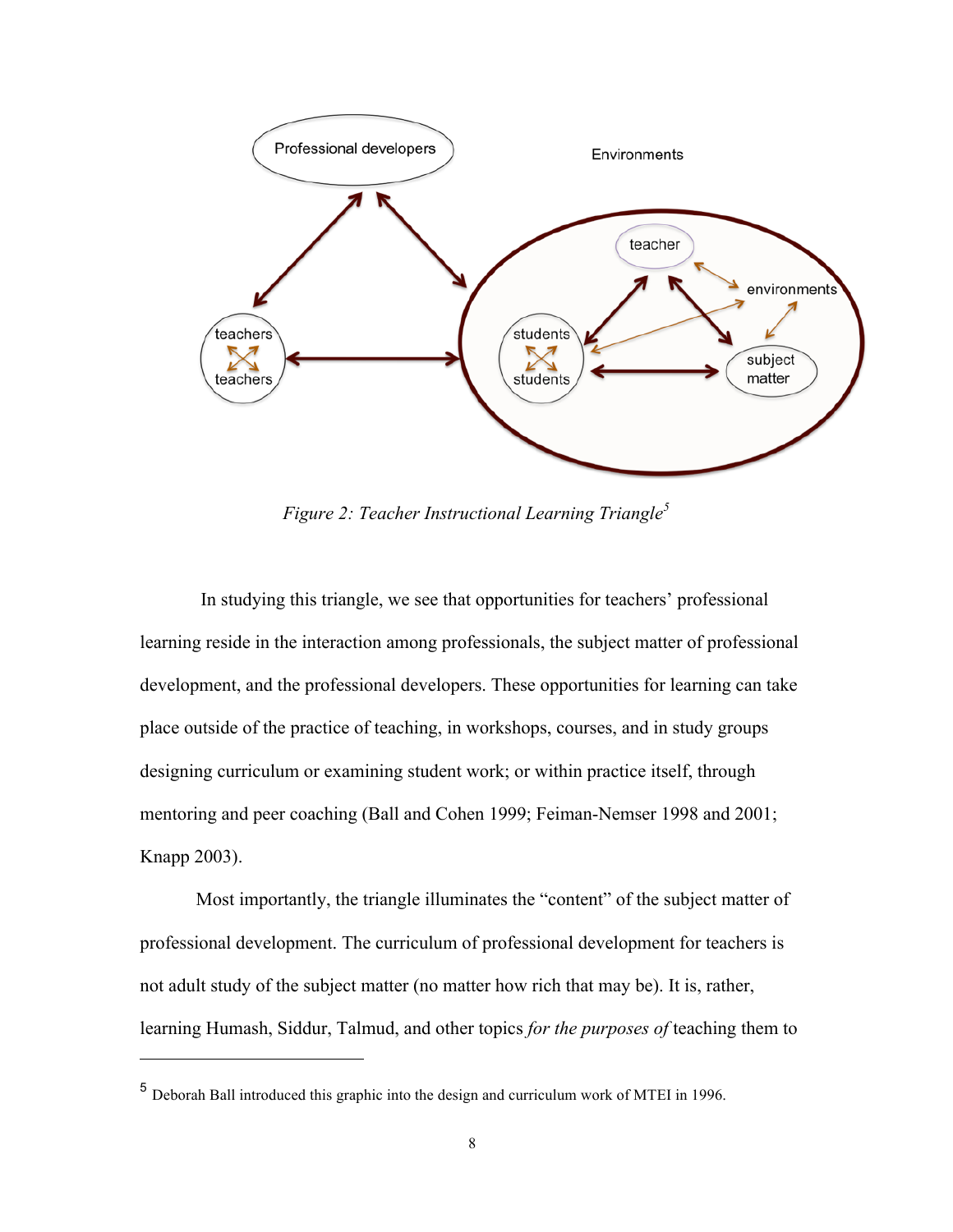

*Figure 2: Teacher Instructional Learning Triangle<sup>5</sup>*

 In studying this triangle, we see that opportunities for teachers' professional learning reside in the interaction among professionals, the subject matter of professional development, and the professional developers. These opportunities for learning can take place outside of the practice of teaching, in workshops, courses, and in study groups designing curriculum or examining student work; or within practice itself, through mentoring and peer coaching (Ball and Cohen 1999; Feiman-Nemser 1998 and 2001; Knapp 2003).

Most importantly, the triangle illuminates the "content" of the subject matter of professional development. The curriculum of professional development for teachers is not adult study of the subject matter (no matter how rich that may be). It is, rather, learning Humash, Siddur, Talmud, and other topics *for the purposes of* teaching them to

 $\overline{a}$ 

<sup>5</sup> Deborah Ball introduced this graphic into the design and curriculum work of MTEI in 1996.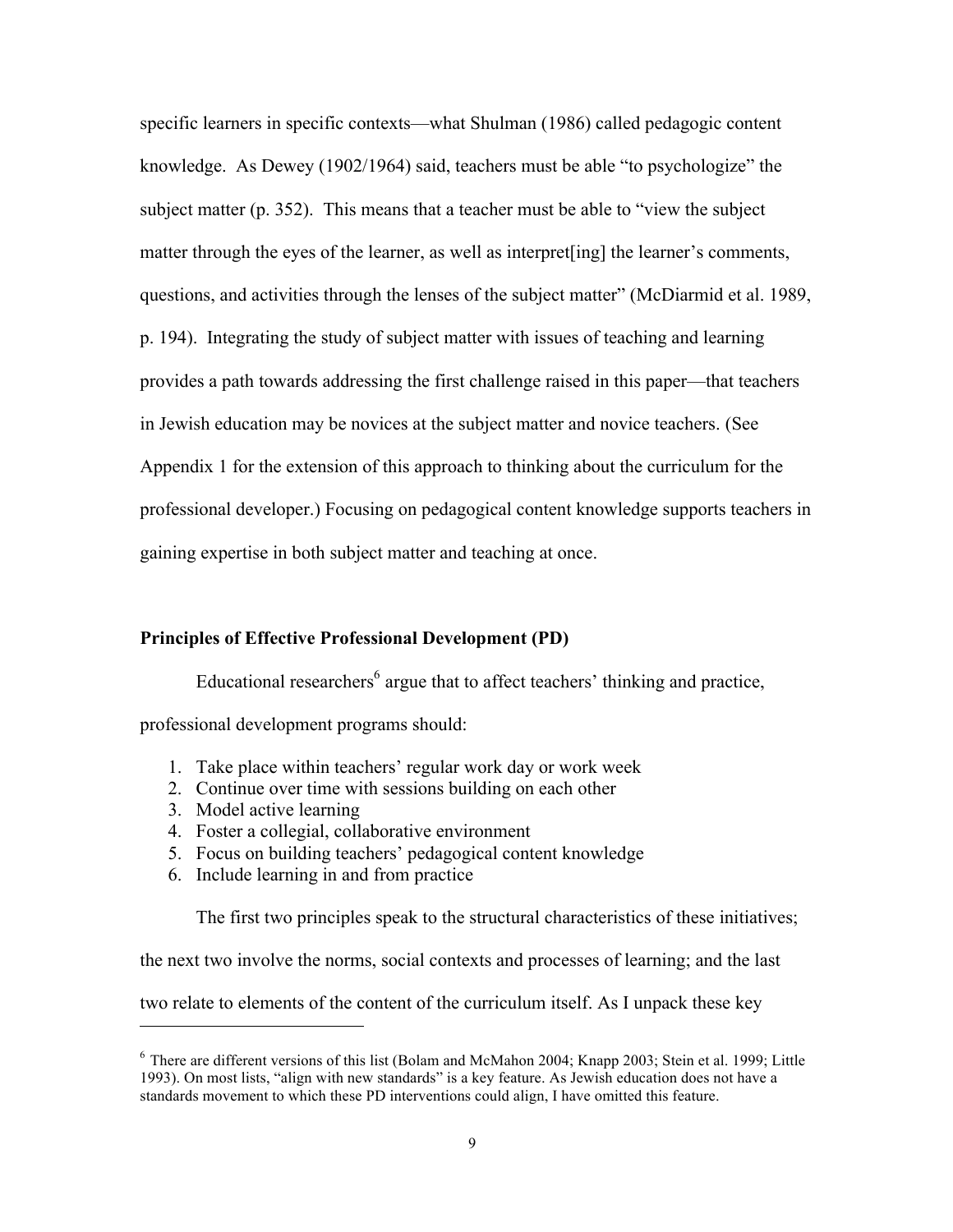specific learners in specific contexts—what Shulman (1986) called pedagogic content knowledge. As Dewey (1902/1964) said, teachers must be able "to psychologize" the subject matter (p. 352). This means that a teacher must be able to "view the subject matter through the eyes of the learner, as well as interpret[ing] the learner's comments, questions, and activities through the lenses of the subject matter" (McDiarmid et al. 1989, p. 194). Integrating the study of subject matter with issues of teaching and learning provides a path towards addressing the first challenge raised in this paper—that teachers in Jewish education may be novices at the subject matter and novice teachers. (See Appendix 1 for the extension of this approach to thinking about the curriculum for the professional developer.) Focusing on pedagogical content knowledge supports teachers in gaining expertise in both subject matter and teaching at once.

#### **Principles of Effective Professional Development (PD)**

Educational researchers<sup>6</sup> argue that to affect teachers' thinking and practice,

professional development programs should:

- 1. Take place within teachers' regular work day or work week
- 2. Continue over time with sessions building on each other
- 3. Model active learning

 $\overline{a}$ 

- 4. Foster a collegial, collaborative environment
- 5. Focus on building teachers' pedagogical content knowledge
- 6. Include learning in and from practice

The first two principles speak to the structural characteristics of these initiatives;

the next two involve the norms, social contexts and processes of learning; and the last

two relate to elements of the content of the curriculum itself. As I unpack these key

 $6$  There are different versions of this list (Bolam and McMahon 2004; Knapp 2003; Stein et al. 1999; Little 1993). On most lists, "align with new standards" is a key feature. As Jewish education does not have a standards movement to which these PD interventions could align, I have omitted this feature.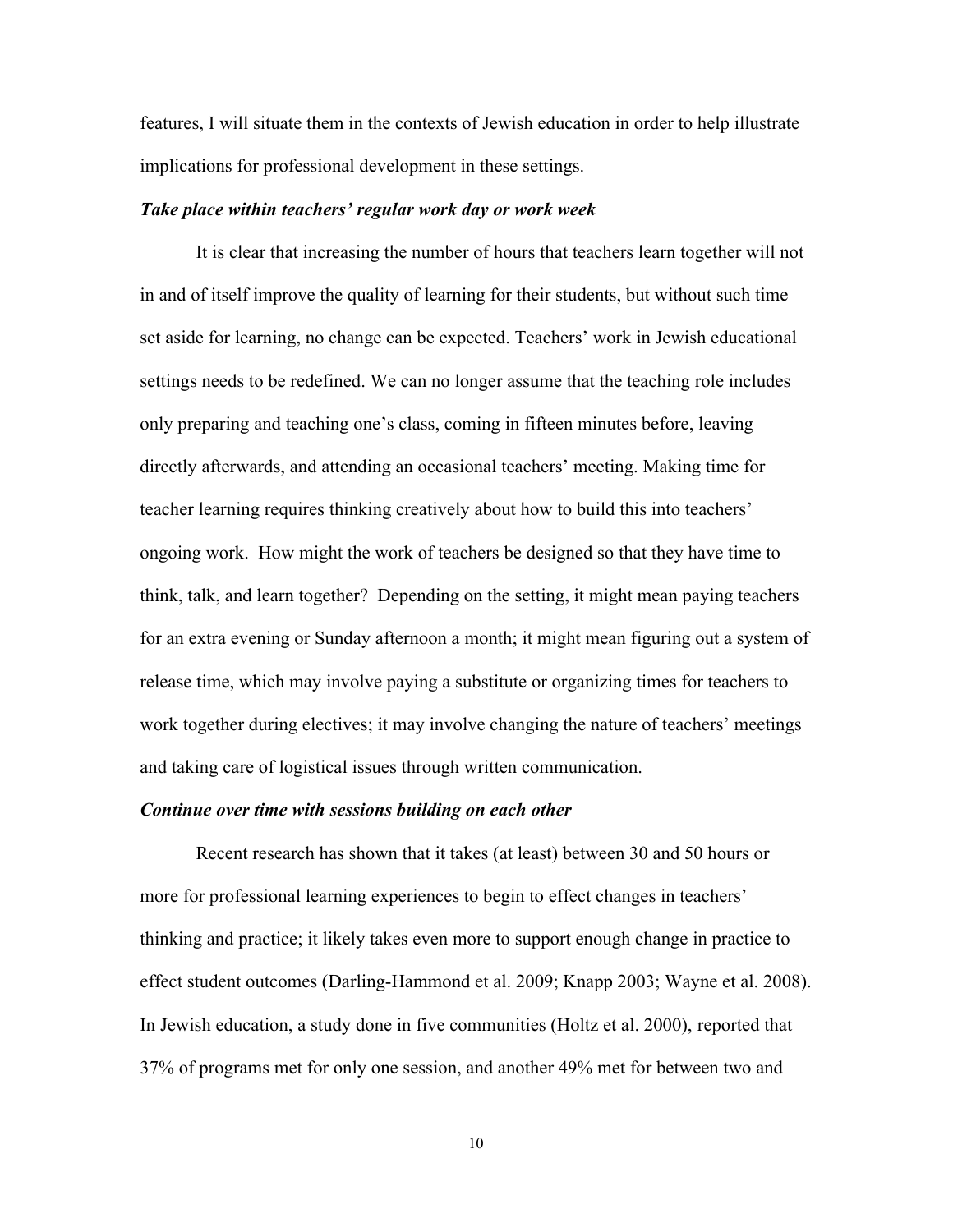features, I will situate them in the contexts of Jewish education in order to help illustrate implications for professional development in these settings.

#### *Take place within teachers' regular work day or work week*

It is clear that increasing the number of hours that teachers learn together will not in and of itself improve the quality of learning for their students, but without such time set aside for learning, no change can be expected. Teachers' work in Jewish educational settings needs to be redefined. We can no longer assume that the teaching role includes only preparing and teaching one's class, coming in fifteen minutes before, leaving directly afterwards, and attending an occasional teachers' meeting. Making time for teacher learning requires thinking creatively about how to build this into teachers' ongoing work. How might the work of teachers be designed so that they have time to think, talk, and learn together? Depending on the setting, it might mean paying teachers for an extra evening or Sunday afternoon a month; it might mean figuring out a system of release time, which may involve paying a substitute or organizing times for teachers to work together during electives; it may involve changing the nature of teachers' meetings and taking care of logistical issues through written communication.

#### *Continue over time with sessions building on each other*

Recent research has shown that it takes (at least) between 30 and 50 hours or more for professional learning experiences to begin to effect changes in teachers' thinking and practice; it likely takes even more to support enough change in practice to effect student outcomes (Darling-Hammond et al. 2009; Knapp 2003; Wayne et al. 2008). In Jewish education, a study done in five communities (Holtz et al. 2000), reported that 37% of programs met for only one session, and another 49% met for between two and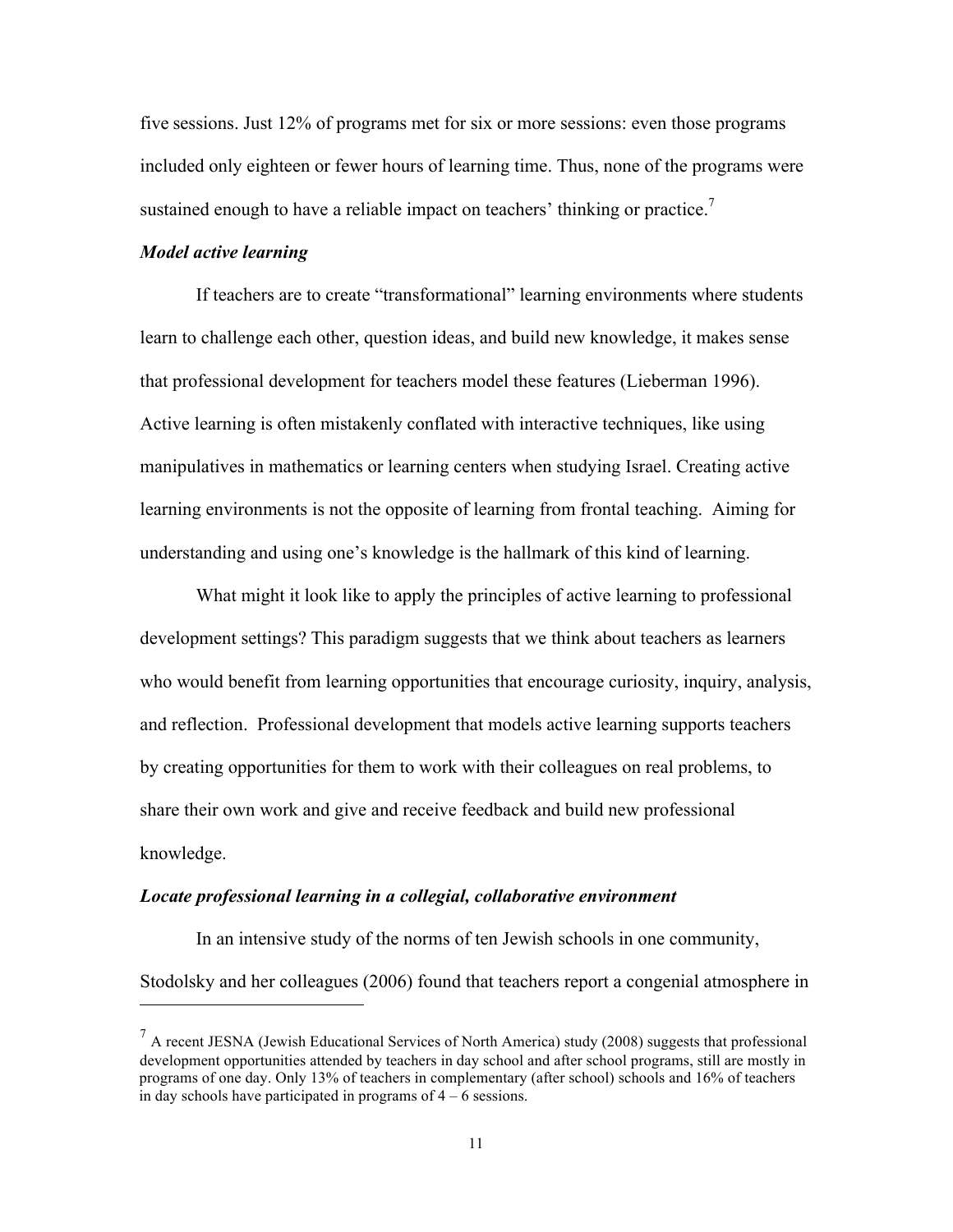five sessions. Just 12% of programs met for six or more sessions: even those programs included only eighteen or fewer hours of learning time. Thus, none of the programs were sustained enough to have a reliable impact on teachers' thinking or practice.<sup>7</sup>

## *Model active learning*

If teachers are to create "transformational" learning environments where students learn to challenge each other, question ideas, and build new knowledge, it makes sense that professional development for teachers model these features (Lieberman 1996). Active learning is often mistakenly conflated with interactive techniques, like using manipulatives in mathematics or learning centers when studying Israel. Creating active learning environments is not the opposite of learning from frontal teaching. Aiming for understanding and using one's knowledge is the hallmark of this kind of learning.

What might it look like to apply the principles of active learning to professional development settings? This paradigm suggests that we think about teachers as learners who would benefit from learning opportunities that encourage curiosity, inquiry, analysis, and reflection. Professional development that models active learning supports teachers by creating opportunities for them to work with their colleagues on real problems, to share their own work and give and receive feedback and build new professional knowledge.

#### *Locate professional learning in a collegial, collaborative environment*

In an intensive study of the norms of ten Jewish schools in one community, Stodolsky and her colleagues (2006) found that teachers report a congenial atmosphere in

 $<sup>7</sup>$  A recent JESNA (Jewish Educational Services of North America) study (2008) suggests that professional</sup> development opportunities attended by teachers in day school and after school programs, still are mostly in programs of one day. Only 13% of teachers in complementary (after school) schools and 16% of teachers in day schools have participated in programs of  $4 - 6$  sessions.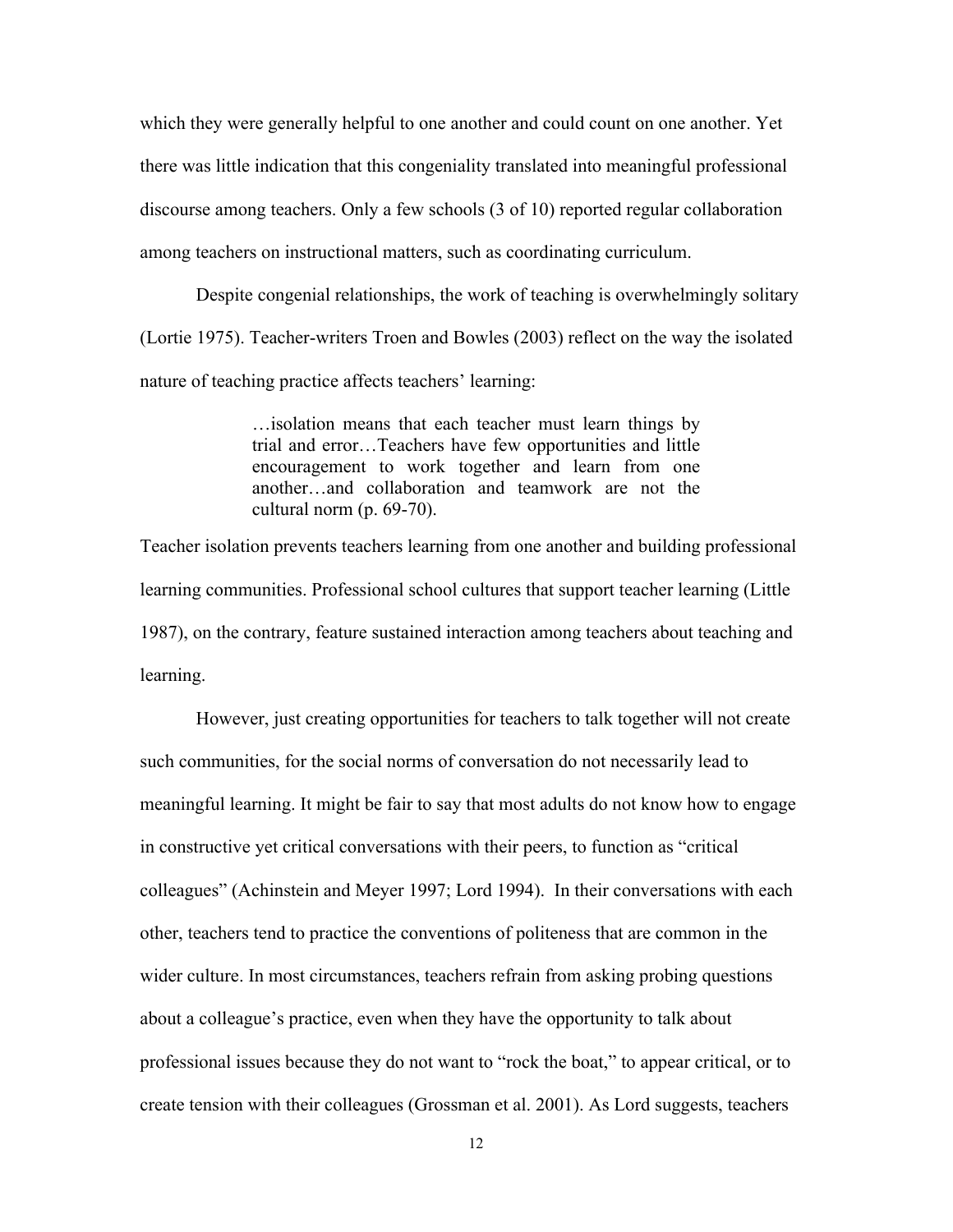which they were generally helpful to one another and could count on one another. Yet there was little indication that this congeniality translated into meaningful professional discourse among teachers. Only a few schools (3 of 10) reported regular collaboration among teachers on instructional matters, such as coordinating curriculum.

Despite congenial relationships, the work of teaching is overwhelmingly solitary (Lortie 1975). Teacher-writers Troen and Bowles (2003) reflect on the way the isolated nature of teaching practice affects teachers' learning:

> …isolation means that each teacher must learn things by trial and error…Teachers have few opportunities and little encouragement to work together and learn from one another…and collaboration and teamwork are not the cultural norm (p. 69-70).

Teacher isolation prevents teachers learning from one another and building professional learning communities. Professional school cultures that support teacher learning (Little 1987), on the contrary, feature sustained interaction among teachers about teaching and learning.

However, just creating opportunities for teachers to talk together will not create such communities, for the social norms of conversation do not necessarily lead to meaningful learning. It might be fair to say that most adults do not know how to engage in constructive yet critical conversations with their peers, to function as "critical colleagues" (Achinstein and Meyer 1997; Lord 1994). In their conversations with each other, teachers tend to practice the conventions of politeness that are common in the wider culture. In most circumstances, teachers refrain from asking probing questions about a colleague's practice, even when they have the opportunity to talk about professional issues because they do not want to "rock the boat," to appear critical, or to create tension with their colleagues (Grossman et al. 2001). As Lord suggests, teachers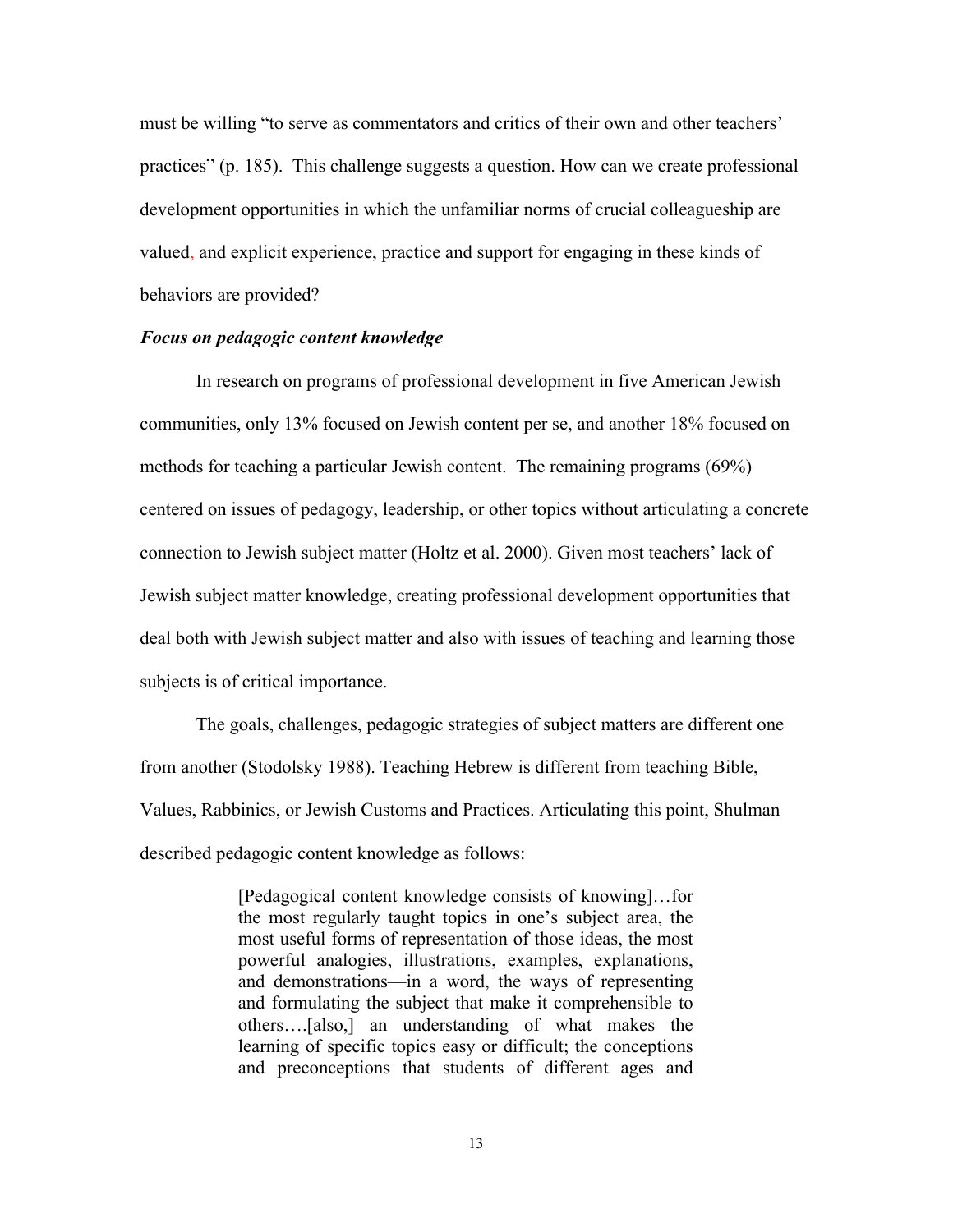must be willing "to serve as commentators and critics of their own and other teachers' practices" (p. 185). This challenge suggests a question. How can we create professional development opportunities in which the unfamiliar norms of crucial colleagueship are valued, and explicit experience, practice and support for engaging in these kinds of behaviors are provided?

## *Focus on pedagogic content knowledge*

In research on programs of professional development in five American Jewish communities, only 13% focused on Jewish content per se, and another 18% focused on methods for teaching a particular Jewish content. The remaining programs (69%) centered on issues of pedagogy, leadership, or other topics without articulating a concrete connection to Jewish subject matter (Holtz et al. 2000). Given most teachers' lack of Jewish subject matter knowledge, creating professional development opportunities that deal both with Jewish subject matter and also with issues of teaching and learning those subjects is of critical importance.

The goals, challenges, pedagogic strategies of subject matters are different one from another (Stodolsky 1988). Teaching Hebrew is different from teaching Bible, Values, Rabbinics, or Jewish Customs and Practices. Articulating this point, Shulman described pedagogic content knowledge as follows:

> [Pedagogical content knowledge consists of knowing]…for the most regularly taught topics in one's subject area, the most useful forms of representation of those ideas, the most powerful analogies, illustrations, examples, explanations, and demonstrations—in a word, the ways of representing and formulating the subject that make it comprehensible to others….[also,] an understanding of what makes the learning of specific topics easy or difficult; the conceptions and preconceptions that students of different ages and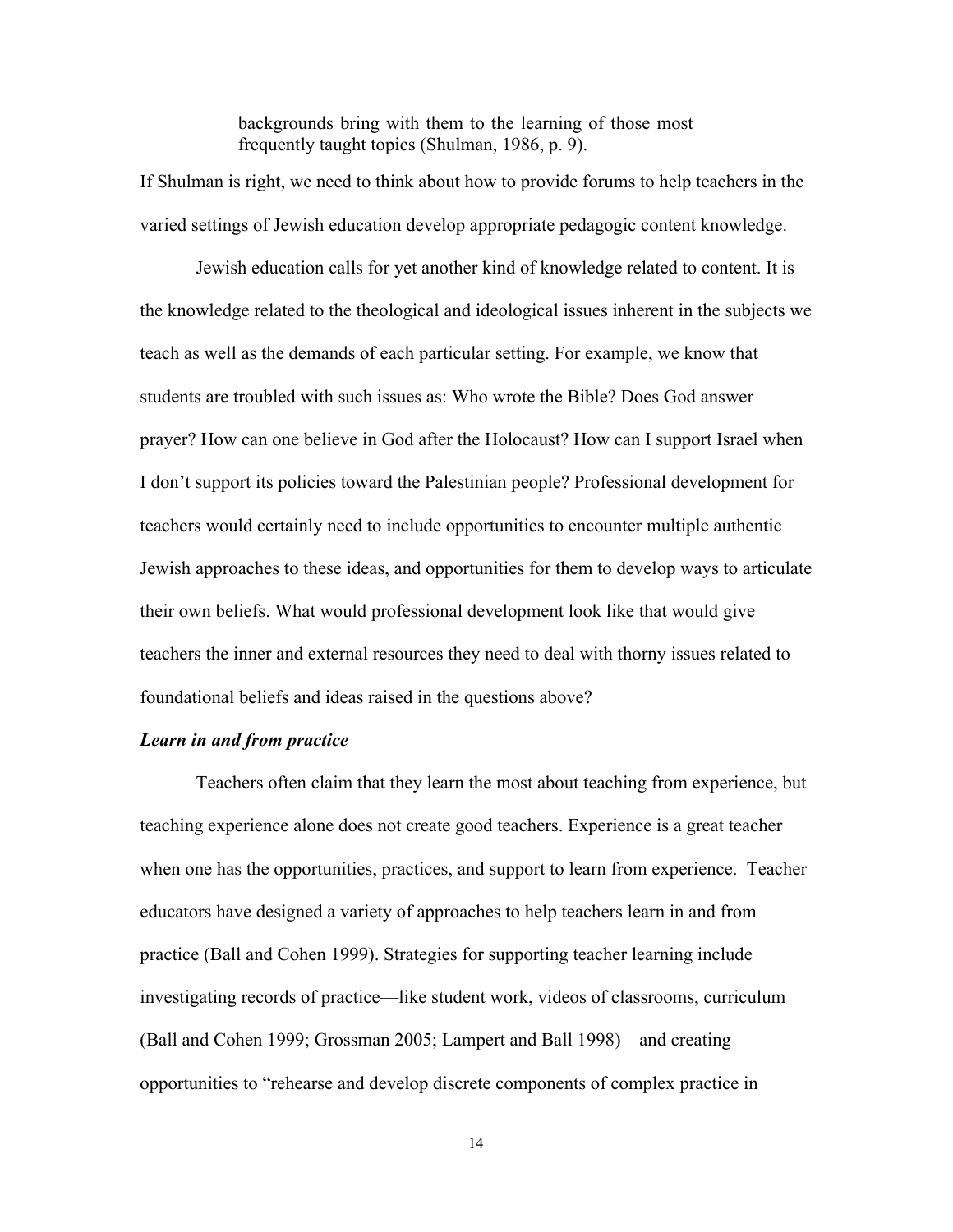backgrounds bring with them to the learning of those most frequently taught topics (Shulman, 1986, p. 9).

If Shulman is right, we need to think about how to provide forums to help teachers in the varied settings of Jewish education develop appropriate pedagogic content knowledge.

Jewish education calls for yet another kind of knowledge related to content. It is the knowledge related to the theological and ideological issues inherent in the subjects we teach as well as the demands of each particular setting. For example, we know that students are troubled with such issues as: Who wrote the Bible? Does God answer prayer? How can one believe in God after the Holocaust? How can I support Israel when I don't support its policies toward the Palestinian people? Professional development for teachers would certainly need to include opportunities to encounter multiple authentic Jewish approaches to these ideas, and opportunities for them to develop ways to articulate their own beliefs. What would professional development look like that would give teachers the inner and external resources they need to deal with thorny issues related to foundational beliefs and ideas raised in the questions above?

## *Learn in and from practice*

Teachers often claim that they learn the most about teaching from experience, but teaching experience alone does not create good teachers. Experience is a great teacher when one has the opportunities, practices, and support to learn from experience. Teacher educators have designed a variety of approaches to help teachers learn in and from practice (Ball and Cohen 1999). Strategies for supporting teacher learning include investigating records of practice—like student work, videos of classrooms, curriculum (Ball and Cohen 1999; Grossman 2005; Lampert and Ball 1998)—and creating opportunities to "rehearse and develop discrete components of complex practice in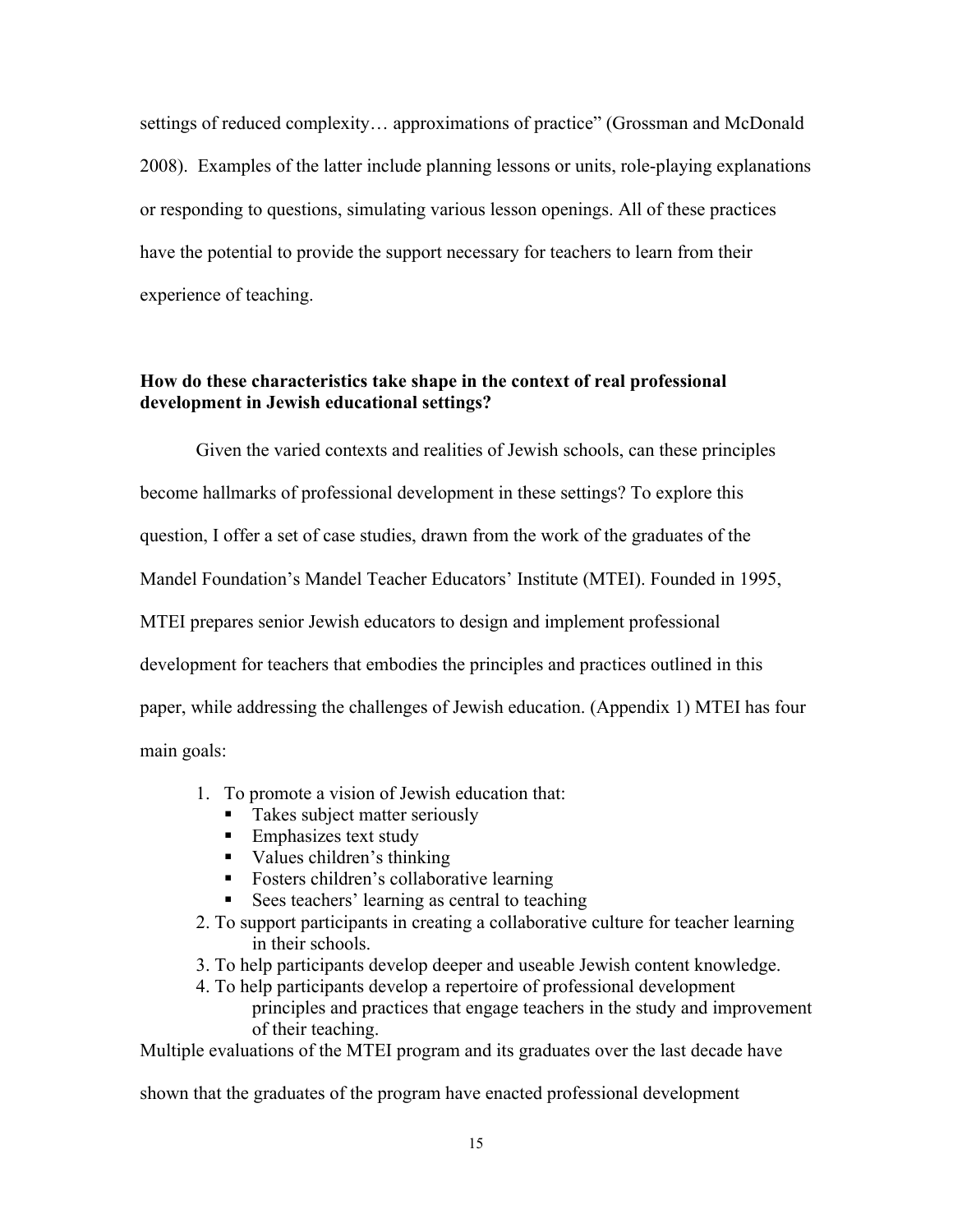settings of reduced complexity… approximations of practice" (Grossman and McDonald 2008). Examples of the latter include planning lessons or units, role-playing explanations or responding to questions, simulating various lesson openings. All of these practices have the potential to provide the support necessary for teachers to learn from their experience of teaching.

# **How do these characteristics take shape in the context of real professional development in Jewish educational settings?**

Given the varied contexts and realities of Jewish schools, can these principles become hallmarks of professional development in these settings? To explore this question, I offer a set of case studies, drawn from the work of the graduates of the Mandel Foundation's Mandel Teacher Educators' Institute (MTEI). Founded in 1995, MTEI prepares senior Jewish educators to design and implement professional development for teachers that embodies the principles and practices outlined in this paper, while addressing the challenges of Jewish education. (Appendix 1) MTEI has four main goals:

- 1. To promote a vision of Jewish education that:
	- Takes subject matter seriously
	- Emphasizes text study
	- Values children's thinking
	- Fosters children's collaborative learning
	- Sees teachers' learning as central to teaching
- 2. To support participants in creating a collaborative culture for teacher learning in their schools.
- 3. To help participants develop deeper and useable Jewish content knowledge.
- 4. To help participants develop a repertoire of professional development principles and practices that engage teachers in the study and improvement of their teaching.

Multiple evaluations of the MTEI program and its graduates over the last decade have

shown that the graduates of the program have enacted professional development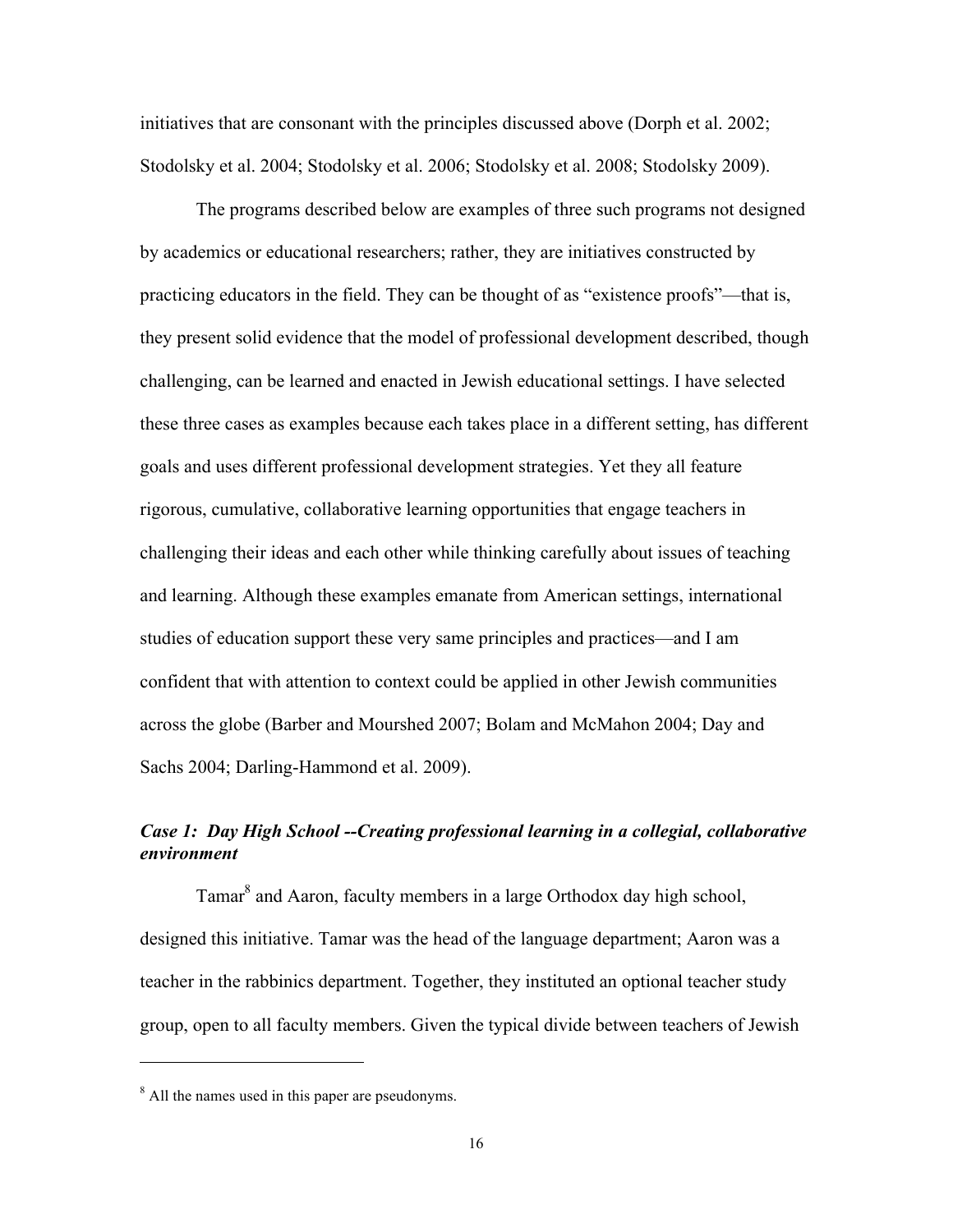initiatives that are consonant with the principles discussed above (Dorph et al. 2002; Stodolsky et al. 2004; Stodolsky et al. 2006; Stodolsky et al. 2008; Stodolsky 2009).

The programs described below are examples of three such programs not designed by academics or educational researchers; rather, they are initiatives constructed by practicing educators in the field. They can be thought of as "existence proofs"—that is, they present solid evidence that the model of professional development described, though challenging, can be learned and enacted in Jewish educational settings. I have selected these three cases as examples because each takes place in a different setting, has different goals and uses different professional development strategies. Yet they all feature rigorous, cumulative, collaborative learning opportunities that engage teachers in challenging their ideas and each other while thinking carefully about issues of teaching and learning. Although these examples emanate from American settings, international studies of education support these very same principles and practices—and I am confident that with attention to context could be applied in other Jewish communities across the globe (Barber and Mourshed 2007; Bolam and McMahon 2004; Day and Sachs 2004; Darling-Hammond et al. 2009).

# *Case 1: Day High School --Creating professional learning in a collegial, collaborative environment*

Tamar<sup>8</sup> and Aaron, faculty members in a large Orthodox day high school, designed this initiative. Tamar was the head of the language department; Aaron was a teacher in the rabbinics department. Together, they instituted an optional teacher study group, open to all faculty members. Given the typical divide between teachers of Jewish

 $\overline{a}$ 

<sup>&</sup>lt;sup>8</sup> All the names used in this paper are pseudonyms.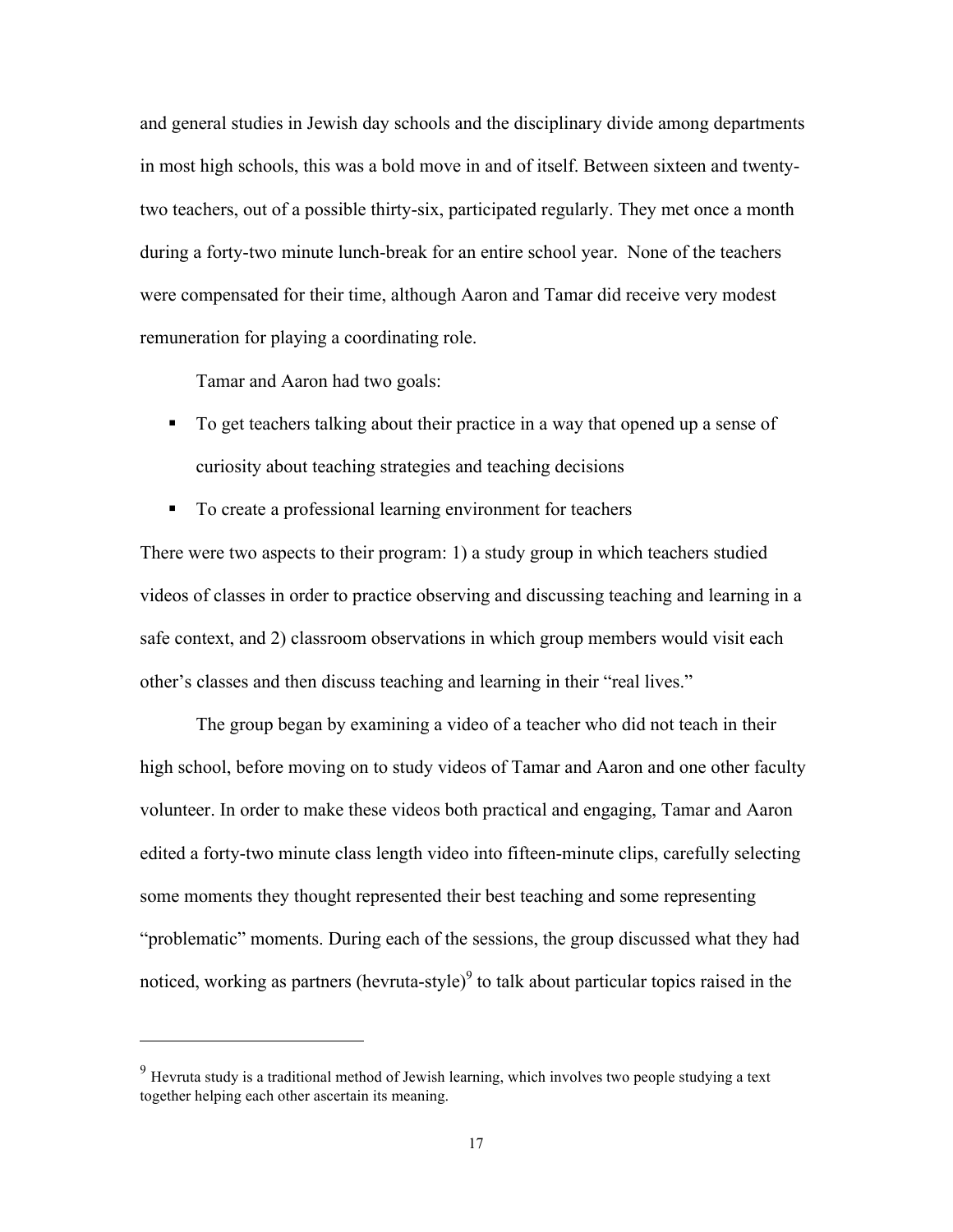and general studies in Jewish day schools and the disciplinary divide among departments in most high schools, this was a bold move in and of itself. Between sixteen and twentytwo teachers, out of a possible thirty-six, participated regularly. They met once a month during a forty-two minute lunch-break for an entire school year. None of the teachers were compensated for their time, although Aaron and Tamar did receive very modest remuneration for playing a coordinating role.

Tamar and Aaron had two goals:

 $\overline{a}$ 

- § To get teachers talking about their practice in a way that opened up a sense of curiosity about teaching strategies and teaching decisions
- To create a professional learning environment for teachers

There were two aspects to their program: 1) a study group in which teachers studied videos of classes in order to practice observing and discussing teaching and learning in a safe context, and 2) classroom observations in which group members would visit each other's classes and then discuss teaching and learning in their "real lives."

The group began by examining a video of a teacher who did not teach in their high school, before moving on to study videos of Tamar and Aaron and one other faculty volunteer. In order to make these videos both practical and engaging, Tamar and Aaron edited a forty-two minute class length video into fifteen-minute clips, carefully selecting some moments they thought represented their best teaching and some representing "problematic" moments. During each of the sessions, the group discussed what they had noticed, working as partners (hevruta-style) $\degree$  to talk about particular topics raised in the

 $9$  Hevruta study is a traditional method of Jewish learning, which involves two people studying a text together helping each other ascertain its meaning.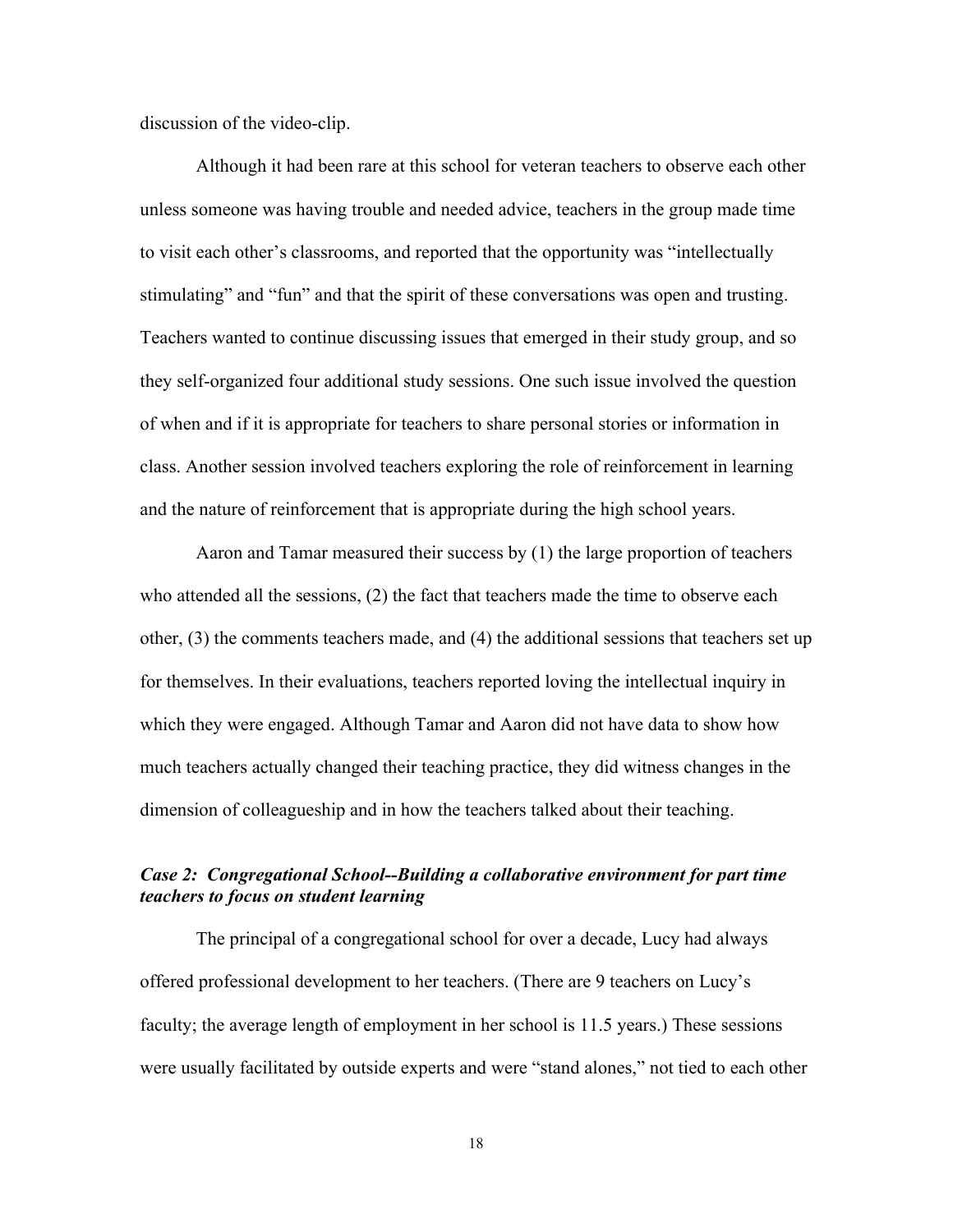discussion of the video-clip.

Although it had been rare at this school for veteran teachers to observe each other unless someone was having trouble and needed advice, teachers in the group made time to visit each other's classrooms, and reported that the opportunity was "intellectually stimulating" and "fun" and that the spirit of these conversations was open and trusting. Teachers wanted to continue discussing issues that emerged in their study group, and so they self-organized four additional study sessions. One such issue involved the question of when and if it is appropriate for teachers to share personal stories or information in class. Another session involved teachers exploring the role of reinforcement in learning and the nature of reinforcement that is appropriate during the high school years.

Aaron and Tamar measured their success by (1) the large proportion of teachers who attended all the sessions, (2) the fact that teachers made the time to observe each other, (3) the comments teachers made, and (4) the additional sessions that teachers set up for themselves. In their evaluations, teachers reported loving the intellectual inquiry in which they were engaged. Although Tamar and Aaron did not have data to show how much teachers actually changed their teaching practice, they did witness changes in the dimension of colleagueship and in how the teachers talked about their teaching.

# *Case 2: Congregational School--Building a collaborative environment for part time teachers to focus on student learning*

The principal of a congregational school for over a decade, Lucy had always offered professional development to her teachers. (There are 9 teachers on Lucy's faculty; the average length of employment in her school is 11.5 years.) These sessions were usually facilitated by outside experts and were "stand alones," not tied to each other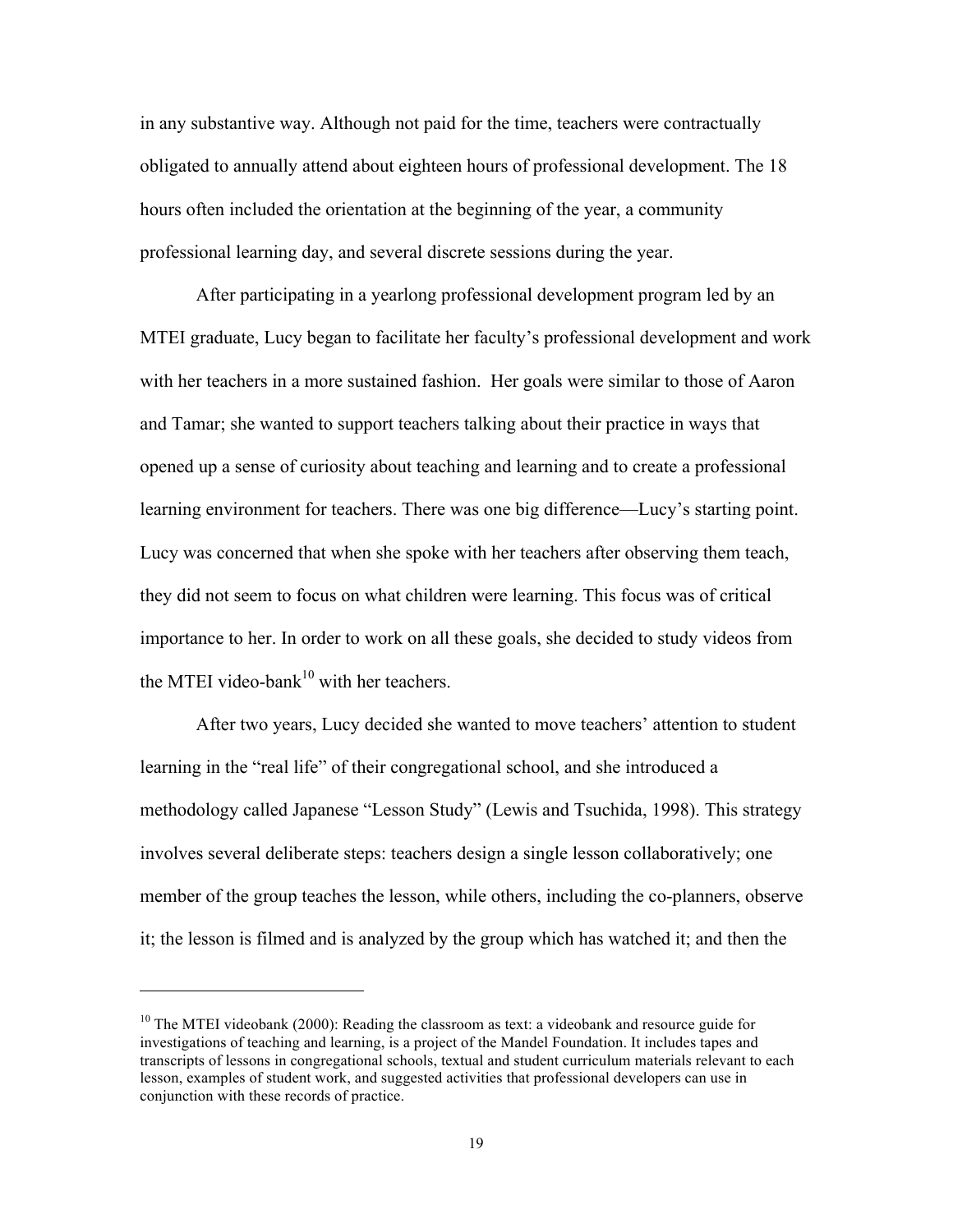in any substantive way. Although not paid for the time, teachers were contractually obligated to annually attend about eighteen hours of professional development. The 18 hours often included the orientation at the beginning of the year, a community professional learning day, and several discrete sessions during the year.

After participating in a yearlong professional development program led by an MTEI graduate, Lucy began to facilitate her faculty's professional development and work with her teachers in a more sustained fashion. Her goals were similar to those of Aaron and Tamar; she wanted to support teachers talking about their practice in ways that opened up a sense of curiosity about teaching and learning and to create a professional learning environment for teachers. There was one big difference—Lucy's starting point. Lucy was concerned that when she spoke with her teachers after observing them teach, they did not seem to focus on what children were learning. This focus was of critical importance to her. In order to work on all these goals, she decided to study videos from the MTEI video-bank<sup>10</sup> with her teachers.

After two years, Lucy decided she wanted to move teachers' attention to student learning in the "real life" of their congregational school, and she introduced a methodology called Japanese "Lesson Study" (Lewis and Tsuchida, 1998). This strategy involves several deliberate steps: teachers design a single lesson collaboratively; one member of the group teaches the lesson, while others, including the co-planners, observe it; the lesson is filmed and is analyzed by the group which has watched it; and then the

 $\overline{a}$ 

 $10$  The MTEI videobank (2000): Reading the classroom as text: a videobank and resource guide for investigations of teaching and learning, is a project of the Mandel Foundation. It includes tapes and transcripts of lessons in congregational schools, textual and student curriculum materials relevant to each lesson, examples of student work, and suggested activities that professional developers can use in conjunction with these records of practice.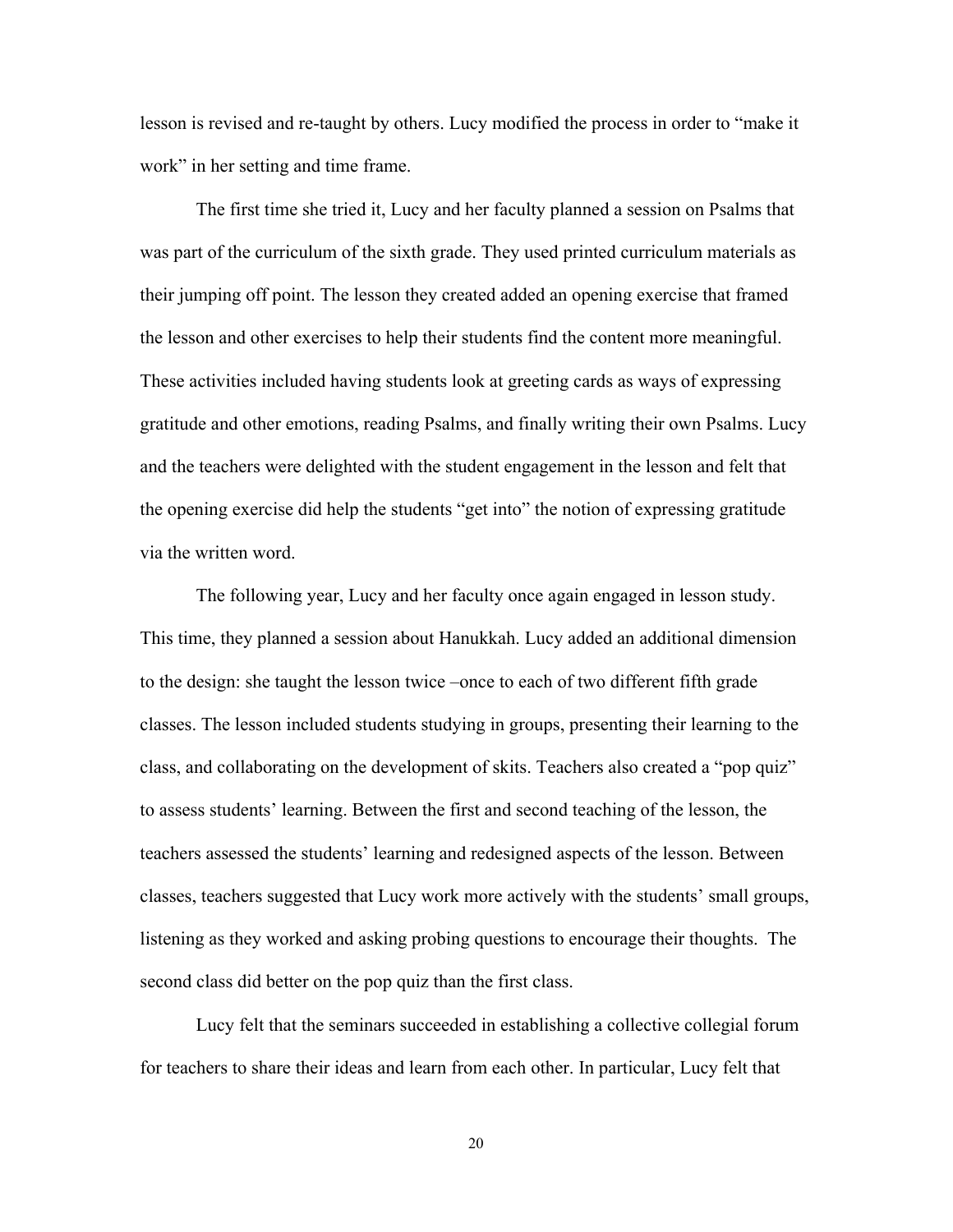lesson is revised and re-taught by others. Lucy modified the process in order to "make it work" in her setting and time frame.

The first time she tried it, Lucy and her faculty planned a session on Psalms that was part of the curriculum of the sixth grade. They used printed curriculum materials as their jumping off point. The lesson they created added an opening exercise that framed the lesson and other exercises to help their students find the content more meaningful. These activities included having students look at greeting cards as ways of expressing gratitude and other emotions, reading Psalms, and finally writing their own Psalms. Lucy and the teachers were delighted with the student engagement in the lesson and felt that the opening exercise did help the students "get into" the notion of expressing gratitude via the written word.

The following year, Lucy and her faculty once again engaged in lesson study. This time, they planned a session about Hanukkah. Lucy added an additional dimension to the design: she taught the lesson twice –once to each of two different fifth grade classes. The lesson included students studying in groups, presenting their learning to the class, and collaborating on the development of skits. Teachers also created a "pop quiz" to assess students' learning. Between the first and second teaching of the lesson, the teachers assessed the students' learning and redesigned aspects of the lesson. Between classes, teachers suggested that Lucy work more actively with the students' small groups, listening as they worked and asking probing questions to encourage their thoughts. The second class did better on the pop quiz than the first class.

Lucy felt that the seminars succeeded in establishing a collective collegial forum for teachers to share their ideas and learn from each other. In particular, Lucy felt that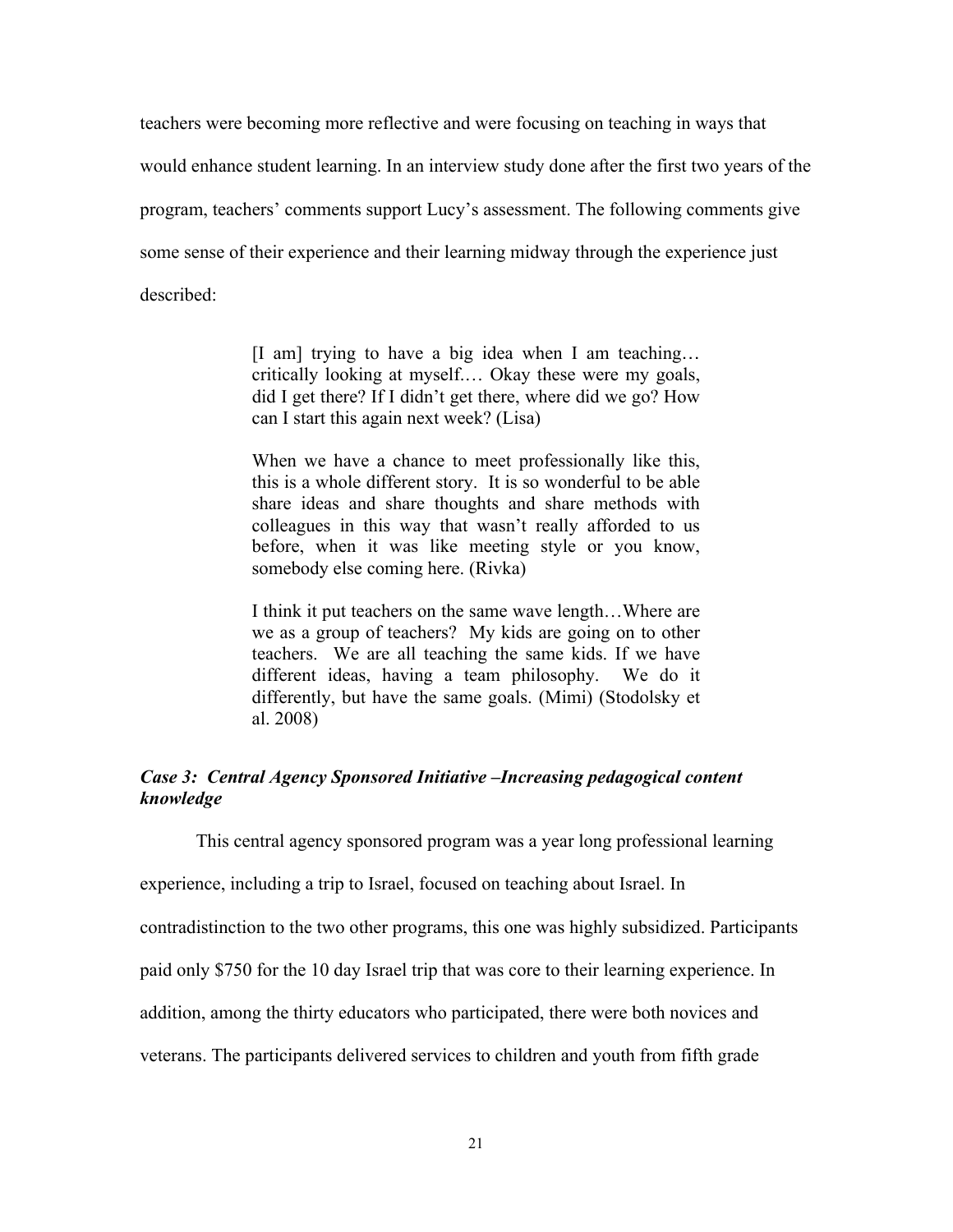teachers were becoming more reflective and were focusing on teaching in ways that would enhance student learning. In an interview study done after the first two years of the program, teachers' comments support Lucy's assessment. The following comments give some sense of their experience and their learning midway through the experience just

described:

[I am] trying to have a big idea when I am teaching… critically looking at myself.… Okay these were my goals, did I get there? If I didn't get there, where did we go? How can I start this again next week? (Lisa)

When we have a chance to meet professionally like this, this is a whole different story. It is so wonderful to be able share ideas and share thoughts and share methods with colleagues in this way that wasn't really afforded to us before, when it was like meeting style or you know, somebody else coming here. (Rivka)

I think it put teachers on the same wave length…Where are we as a group of teachers? My kids are going on to other teachers. We are all teaching the same kids. If we have different ideas, having a team philosophy. We do it differently, but have the same goals. (Mimi) (Stodolsky et al. 2008)

# *Case 3: Central Agency Sponsored Initiative –Increasing pedagogical content knowledge*

This central agency sponsored program was a year long professional learning

experience, including a trip to Israel, focused on teaching about Israel. In

contradistinction to the two other programs, this one was highly subsidized. Participants

paid only \$750 for the 10 day Israel trip that was core to their learning experience. In

addition, among the thirty educators who participated, there were both novices and

veterans. The participants delivered services to children and youth from fifth grade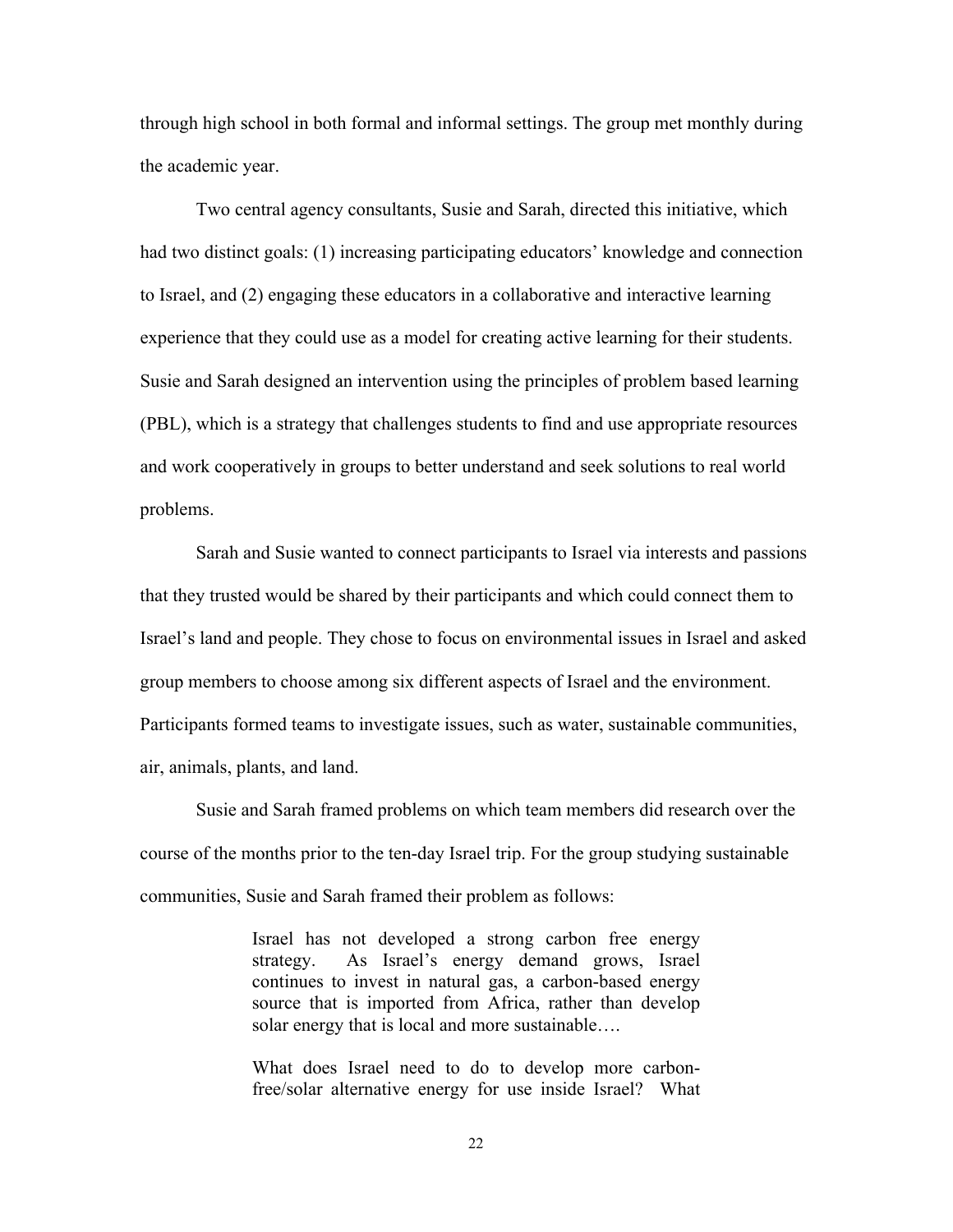through high school in both formal and informal settings. The group met monthly during the academic year.

Two central agency consultants, Susie and Sarah, directed this initiative, which had two distinct goals: (1) increasing participating educators' knowledge and connection to Israel, and (2) engaging these educators in a collaborative and interactive learning experience that they could use as a model for creating active learning for their students. Susie and Sarah designed an intervention using the principles of problem based learning (PBL), which is a strategy that challenges students to find and use appropriate resources and work cooperatively in groups to better understand and seek solutions to real world problems.

Sarah and Susie wanted to connect participants to Israel via interests and passions that they trusted would be shared by their participants and which could connect them to Israel's land and people. They chose to focus on environmental issues in Israel and asked group members to choose among six different aspects of Israel and the environment. Participants formed teams to investigate issues, such as water, sustainable communities, air, animals, plants, and land.

Susie and Sarah framed problems on which team members did research over the course of the months prior to the ten-day Israel trip. For the group studying sustainable communities, Susie and Sarah framed their problem as follows:

> Israel has not developed a strong carbon free energy strategy. As Israel's energy demand grows, Israel continues to invest in natural gas, a carbon-based energy source that is imported from Africa, rather than develop solar energy that is local and more sustainable....

> What does Israel need to do to develop more carbonfree/solar alternative energy for use inside Israel? What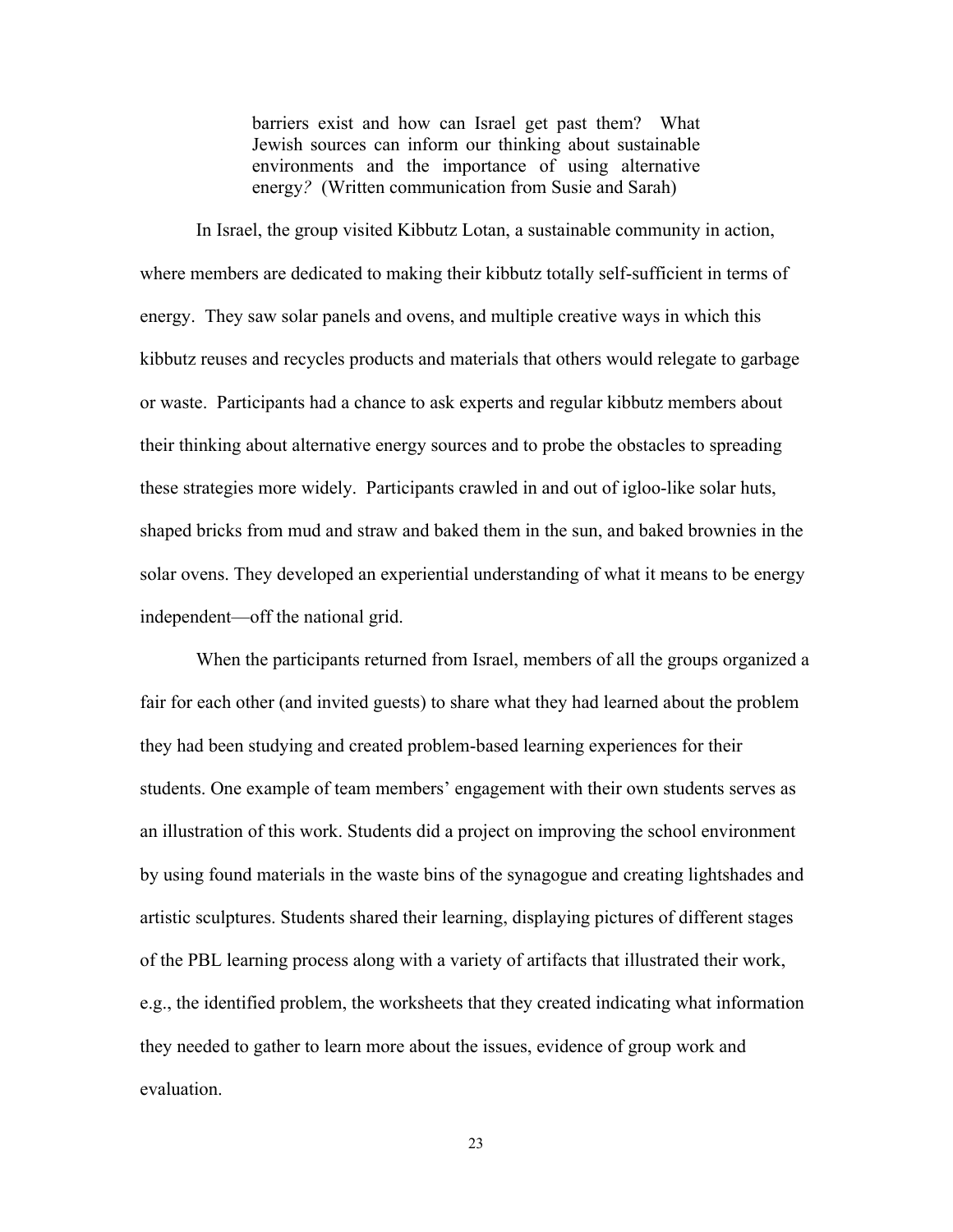barriers exist and how can Israel get past them? What Jewish sources can inform our thinking about sustainable environments and the importance of using alternative energy*?* (Written communication from Susie and Sarah)

In Israel, the group visited Kibbutz Lotan, a sustainable community in action, where members are dedicated to making their kibbutz totally self-sufficient in terms of energy. They saw solar panels and ovens, and multiple creative ways in which this kibbutz reuses and recycles products and materials that others would relegate to garbage or waste. Participants had a chance to ask experts and regular kibbutz members about their thinking about alternative energy sources and to probe the obstacles to spreading these strategies more widely. Participants crawled in and out of igloo-like solar huts, shaped bricks from mud and straw and baked them in the sun, and baked brownies in the solar ovens. They developed an experiential understanding of what it means to be energy independent—off the national grid.

When the participants returned from Israel, members of all the groups organized a fair for each other (and invited guests) to share what they had learned about the problem they had been studying and created problem-based learning experiences for their students. One example of team members' engagement with their own students serves as an illustration of this work. Students did a project on improving the school environment by using found materials in the waste bins of the synagogue and creating lightshades and artistic sculptures. Students shared their learning, displaying pictures of different stages of the PBL learning process along with a variety of artifacts that illustrated their work, e.g., the identified problem, the worksheets that they created indicating what information they needed to gather to learn more about the issues, evidence of group work and evaluation.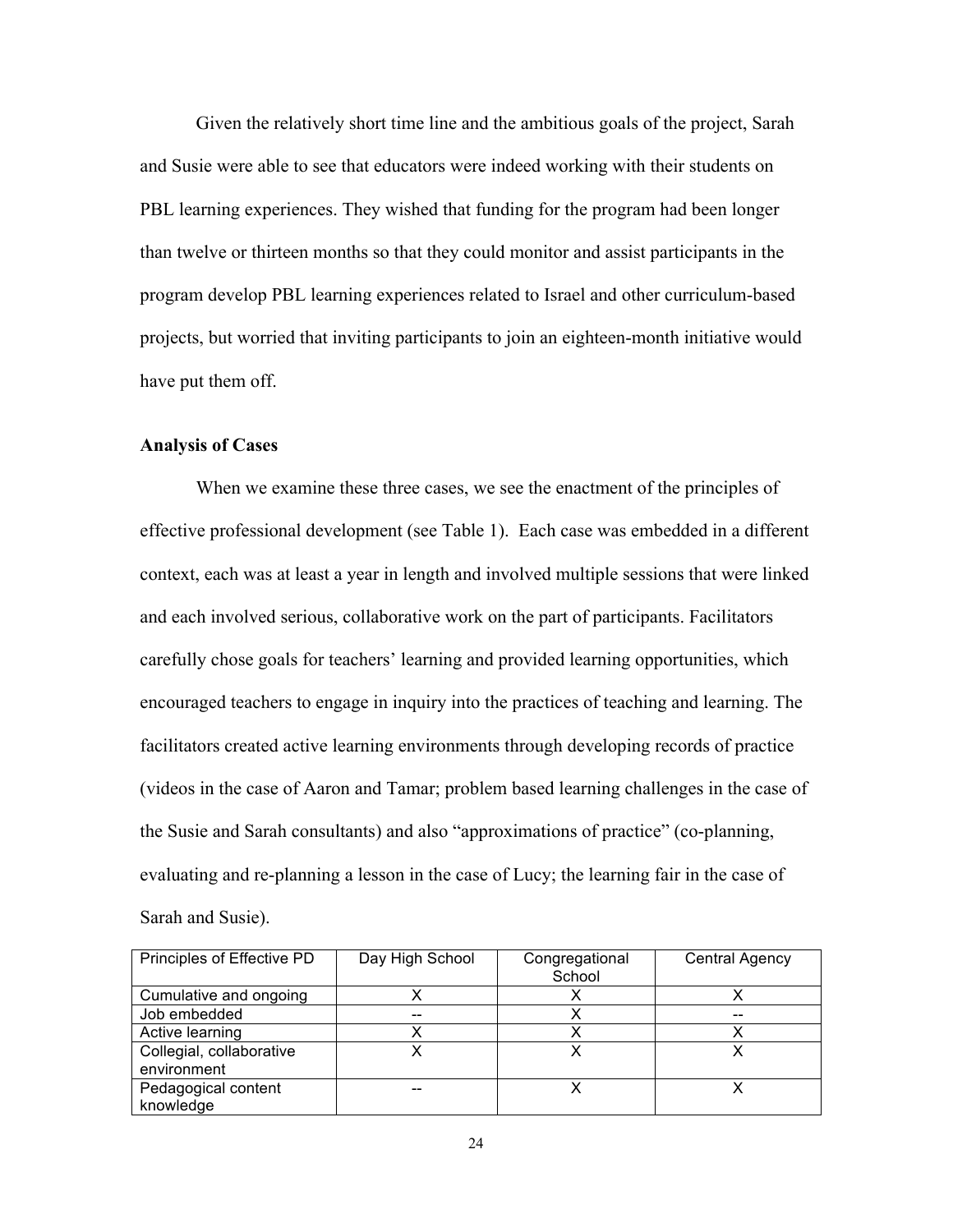Given the relatively short time line and the ambitious goals of the project, Sarah and Susie were able to see that educators were indeed working with their students on PBL learning experiences. They wished that funding for the program had been longer than twelve or thirteen months so that they could monitor and assist participants in the program develop PBL learning experiences related to Israel and other curriculum-based projects, but worried that inviting participants to join an eighteen-month initiative would have put them off.

# **Analysis of Cases**

When we examine these three cases, we see the enactment of the principles of effective professional development (see Table 1). Each case was embedded in a different context, each was at least a year in length and involved multiple sessions that were linked and each involved serious, collaborative work on the part of participants. Facilitators carefully chose goals for teachers' learning and provided learning opportunities, which encouraged teachers to engage in inquiry into the practices of teaching and learning. The facilitators created active learning environments through developing records of practice (videos in the case of Aaron and Tamar; problem based learning challenges in the case of the Susie and Sarah consultants) and also "approximations of practice" (co-planning, evaluating and re-planning a lesson in the case of Lucy; the learning fair in the case of Sarah and Susie).

| Principles of Effective PD | Day High School | Congregational<br>School | <b>Central Agency</b> |
|----------------------------|-----------------|--------------------------|-----------------------|
| Cumulative and ongoing     |                 | ⋏                        |                       |
| Job embedded               |                 |                          |                       |
| Active learning            |                 | x                        |                       |
| Collegial, collaborative   |                 | х                        | ◡                     |
| environment                |                 |                          |                       |
| Pedagogical content        |                 |                          |                       |
| knowledge                  |                 |                          |                       |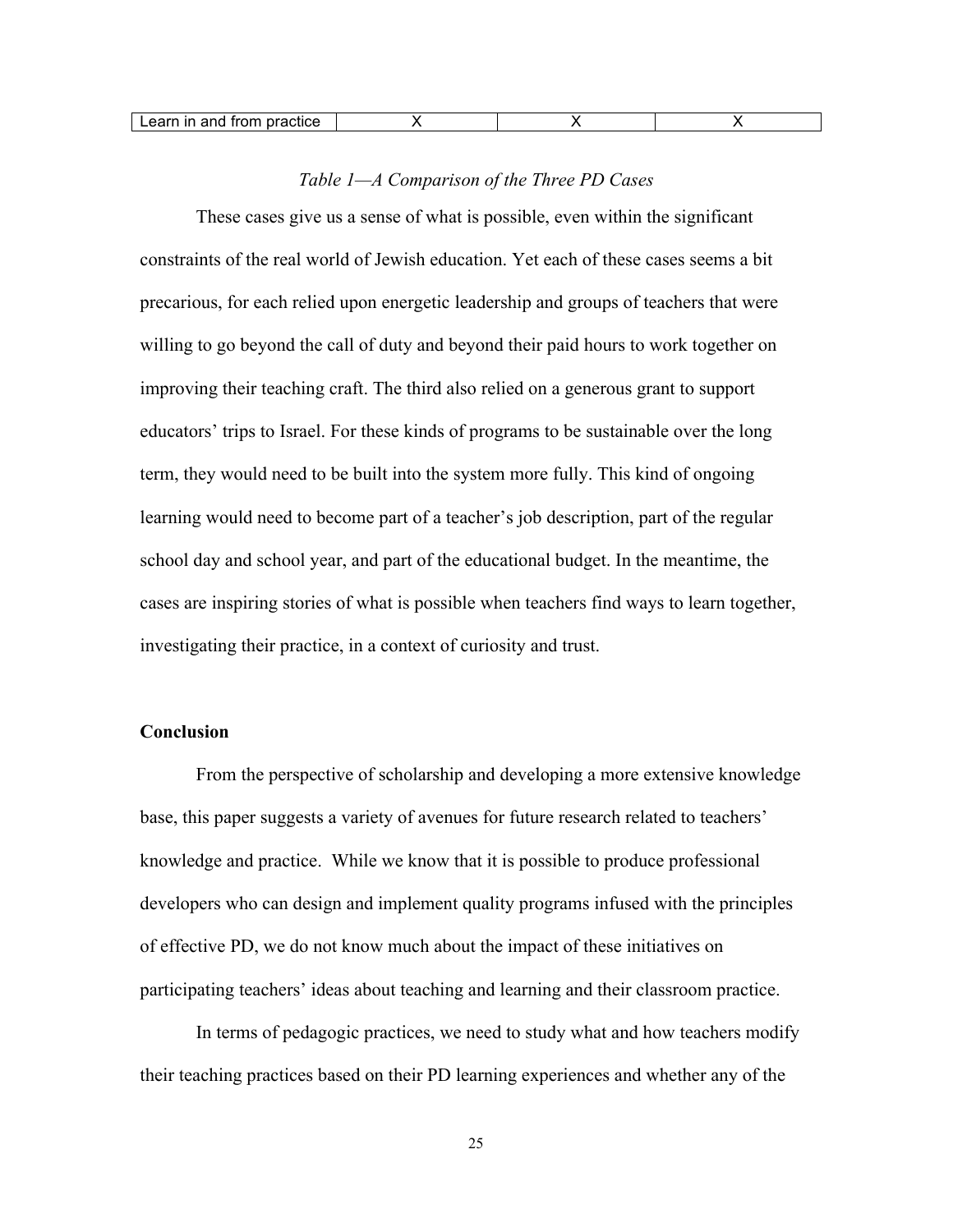| Learn in and from practice |  |  |  |
|----------------------------|--|--|--|
|----------------------------|--|--|--|

## *Table 1—A Comparison of the Three PD Cases*

These cases give us a sense of what is possible, even within the significant constraints of the real world of Jewish education. Yet each of these cases seems a bit precarious, for each relied upon energetic leadership and groups of teachers that were willing to go beyond the call of duty and beyond their paid hours to work together on improving their teaching craft. The third also relied on a generous grant to support educators' trips to Israel. For these kinds of programs to be sustainable over the long term, they would need to be built into the system more fully. This kind of ongoing learning would need to become part of a teacher's job description, part of the regular school day and school year, and part of the educational budget. In the meantime, the cases are inspiring stories of what is possible when teachers find ways to learn together, investigating their practice, in a context of curiosity and trust.

## **Conclusion**

From the perspective of scholarship and developing a more extensive knowledge base, this paper suggests a variety of avenues for future research related to teachers' knowledge and practice. While we know that it is possible to produce professional developers who can design and implement quality programs infused with the principles of effective PD, we do not know much about the impact of these initiatives on participating teachers' ideas about teaching and learning and their classroom practice.

In terms of pedagogic practices, we need to study what and how teachers modify their teaching practices based on their PD learning experiences and whether any of the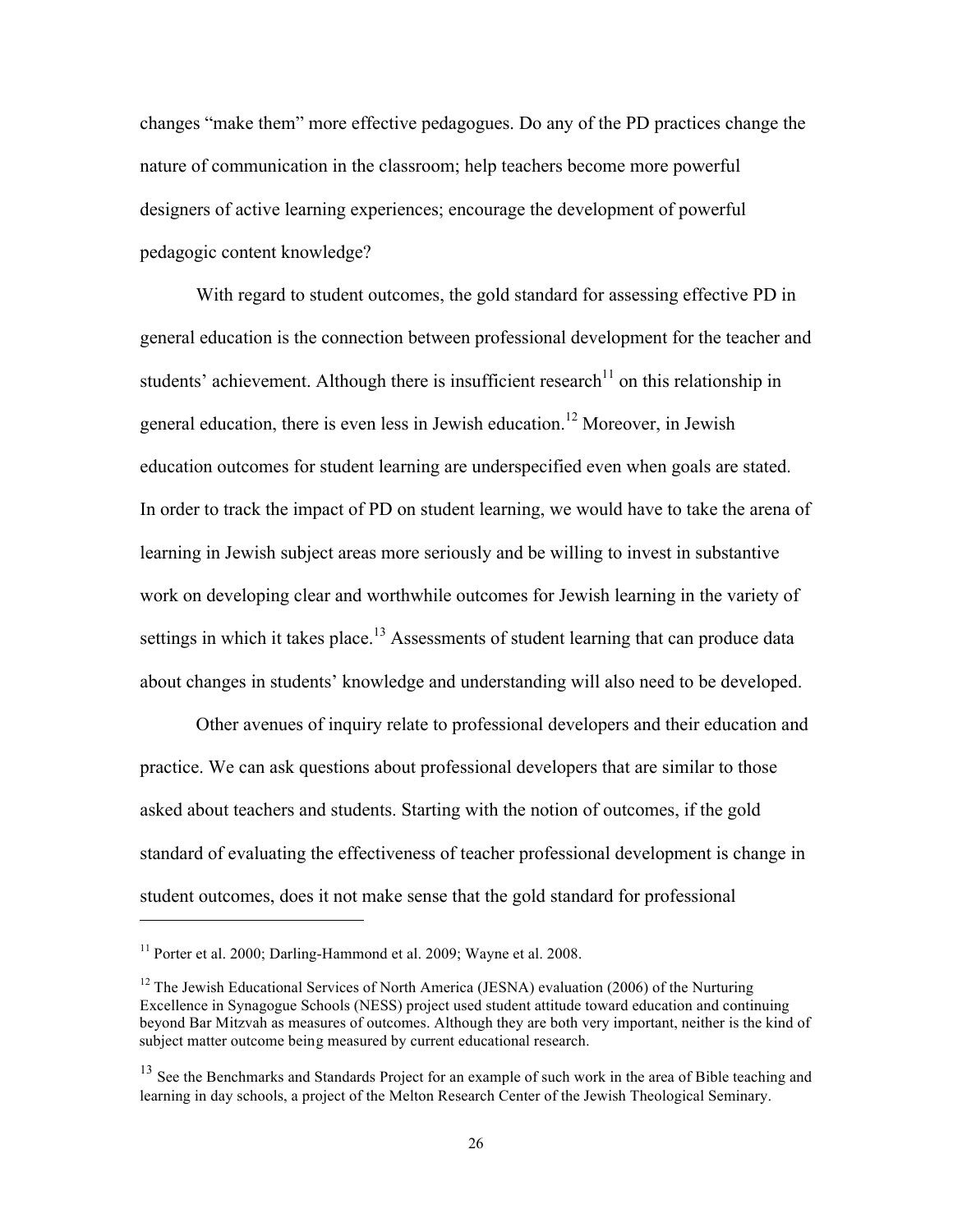changes "make them" more effective pedagogues. Do any of the PD practices change the nature of communication in the classroom; help teachers become more powerful designers of active learning experiences; encourage the development of powerful pedagogic content knowledge?

With regard to student outcomes, the gold standard for assessing effective PD in general education is the connection between professional development for the teacher and students' achievement. Although there is insufficient research<sup>11</sup> on this relationship in general education, there is even less in Jewish education.<sup>12</sup> Moreover, in Jewish education outcomes for student learning are underspecified even when goals are stated. In order to track the impact of PD on student learning, we would have to take the arena of learning in Jewish subject areas more seriously and be willing to invest in substantive work on developing clear and worthwhile outcomes for Jewish learning in the variety of settings in which it takes place.<sup>13</sup> Assessments of student learning that can produce data about changes in students' knowledge and understanding will also need to be developed.

Other avenues of inquiry relate to professional developers and their education and practice. We can ask questions about professional developers that are similar to those asked about teachers and students. Starting with the notion of outcomes, if the gold standard of evaluating the effectiveness of teacher professional development is change in student outcomes, does it not make sense that the gold standard for professional

<sup>&</sup>lt;sup>11</sup> Porter et al. 2000; Darling-Hammond et al. 2009; Wayne et al. 2008.

 $12$  The Jewish Educational Services of North America (JESNA) evaluation (2006) of the Nurturing Excellence in Synagogue Schools (NESS) project used student attitude toward education and continuing beyond Bar Mitzvah as measures of outcomes. Although they are both very important, neither is the kind of subject matter outcome being measured by current educational research.

<sup>&</sup>lt;sup>13</sup> See the Benchmarks and Standards Project for an example of such work in the area of Bible teaching and learning in day schools, a project of the Melton Research Center of the Jewish Theological Seminary.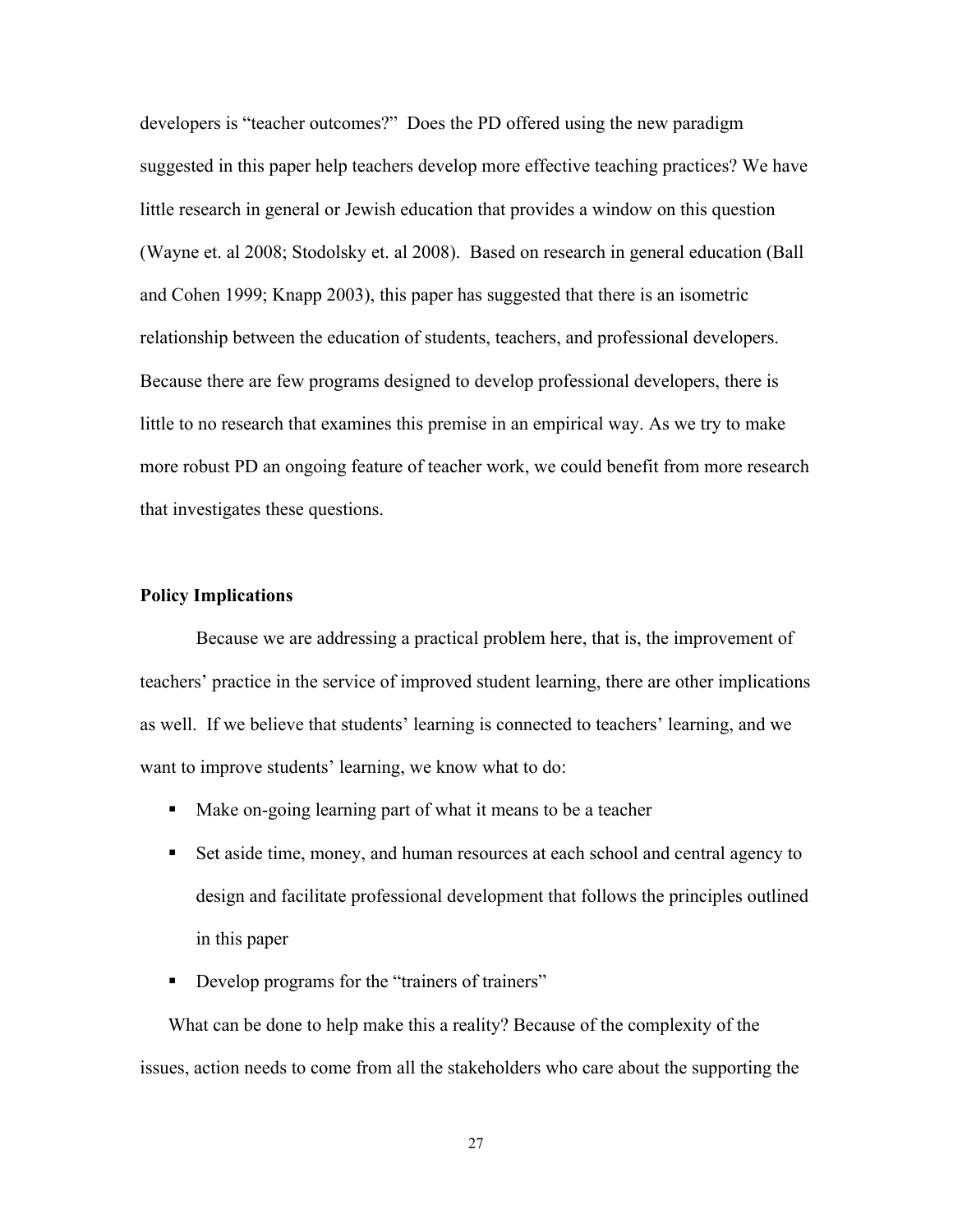developers is "teacher outcomes?" Does the PD offered using the new paradigm suggested in this paper help teachers develop more effective teaching practices? We have little research in general or Jewish education that provides a window on this question (Wayne et. al 2008; Stodolsky et. al 2008). Based on research in general education (Ball and Cohen 1999; Knapp 2003), this paper has suggested that there is an isometric relationship between the education of students, teachers, and professional developers. Because there are few programs designed to develop professional developers, there is little to no research that examines this premise in an empirical way. As we try to make more robust PD an ongoing feature of teacher work, we could benefit from more research that investigates these questions.

## **Policy Implications**

Because we are addressing a practical problem here, that is, the improvement of teachers' practice in the service of improved student learning, there are other implications as well. If we believe that students' learning is connected to teachers' learning, and we want to improve students' learning, we know what to do:

- Make on-going learning part of what it means to be a teacher
- Set aside time, money, and human resources at each school and central agency to design and facilitate professional development that follows the principles outlined in this paper
- Develop programs for the "trainers of trainers"

What can be done to help make this a reality? Because of the complexity of the issues, action needs to come from all the stakeholders who care about the supporting the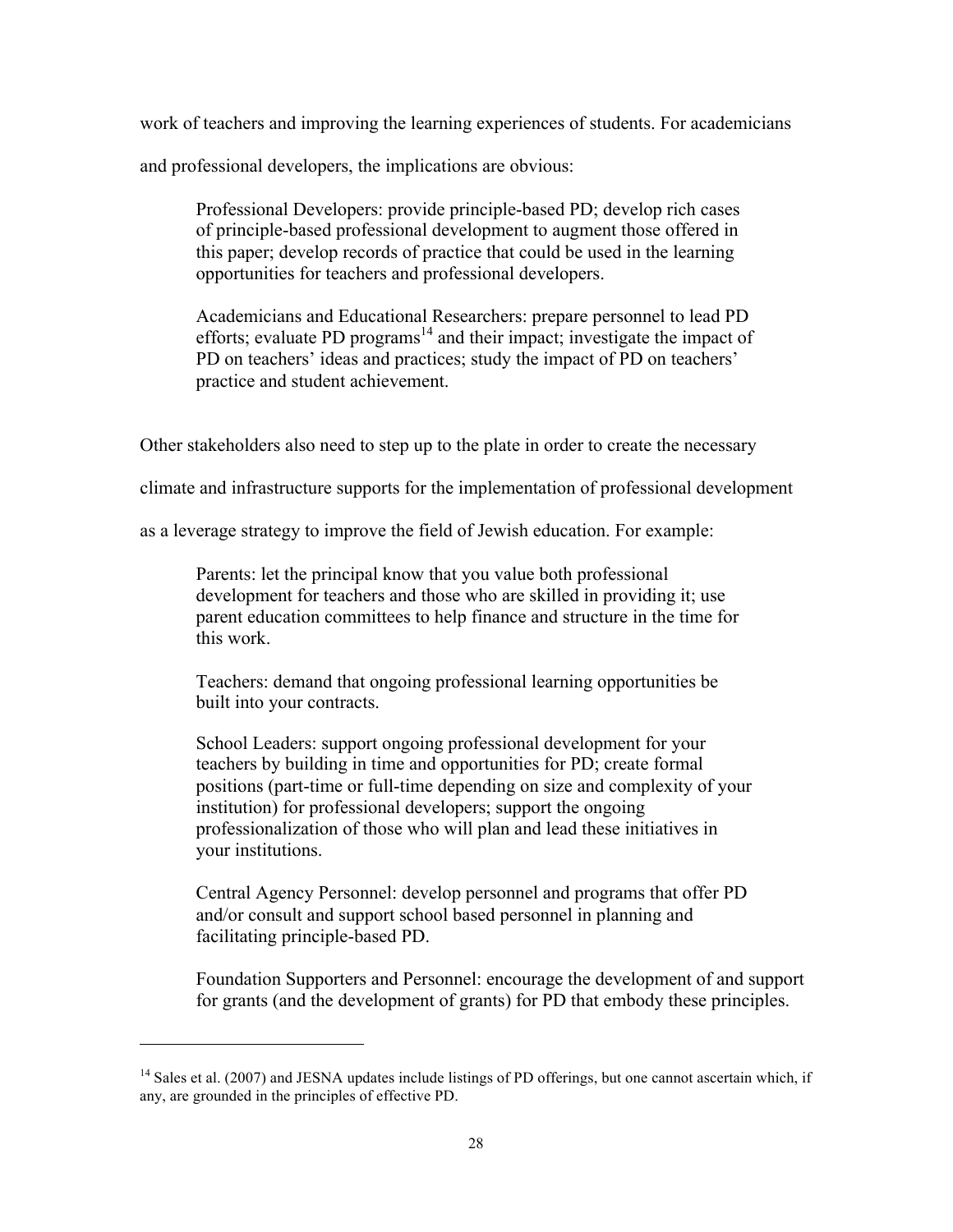work of teachers and improving the learning experiences of students. For academicians

and professional developers, the implications are obvious:

Professional Developers: provide principle-based PD; develop rich cases of principle-based professional development to augment those offered in this paper; develop records of practice that could be used in the learning opportunities for teachers and professional developers.

Academicians and Educational Researchers: prepare personnel to lead PD efforts; evaluate PD programs<sup>14</sup> and their impact; investigate the impact of PD on teachers' ideas and practices; study the impact of PD on teachers' practice and student achievement.

Other stakeholders also need to step up to the plate in order to create the necessary

climate and infrastructure supports for the implementation of professional development

as a leverage strategy to improve the field of Jewish education. For example:

Parents: let the principal know that you value both professional development for teachers and those who are skilled in providing it; use parent education committees to help finance and structure in the time for this work.

Teachers: demand that ongoing professional learning opportunities be built into your contracts.

School Leaders: support ongoing professional development for your teachers by building in time and opportunities for PD; create formal positions (part-time or full-time depending on size and complexity of your institution) for professional developers; support the ongoing professionalization of those who will plan and lead these initiatives in your institutions.

Central Agency Personnel: develop personnel and programs that offer PD and/or consult and support school based personnel in planning and facilitating principle-based PD.

Foundation Supporters and Personnel: encourage the development of and support for grants (and the development of grants) for PD that embody these principles.

<sup>&</sup>lt;sup>14</sup> Sales et al. (2007) and JESNA updates include listings of PD offerings, but one cannot ascertain which, if any, are grounded in the principles of effective PD.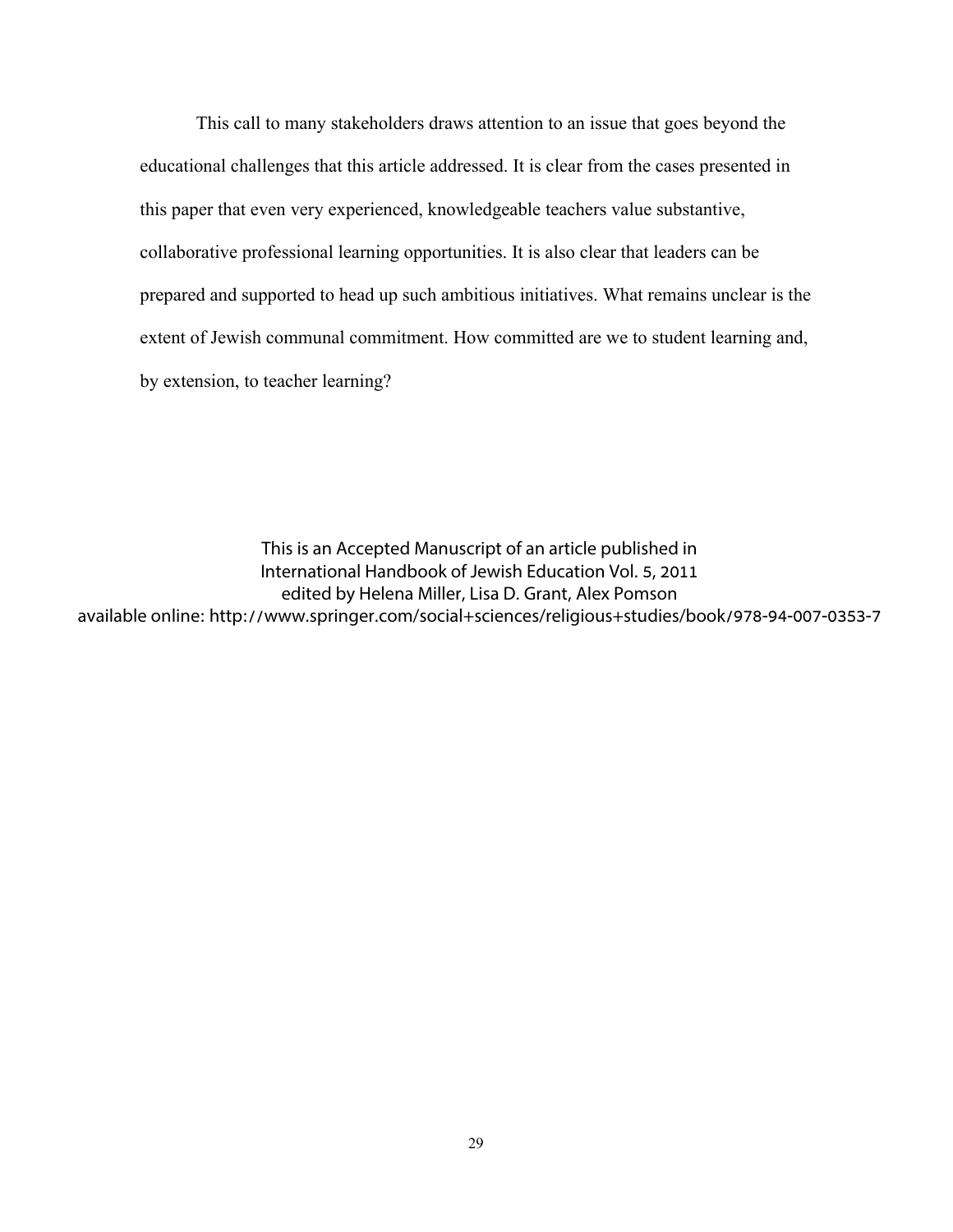This call to many stakeholders draws attention to an issue that goes beyond the educational challenges that this article addressed. It is clear from the cases presented in this paper that even very experienced, knowledgeable teachers value substantive, collaborative professional learning opportunities. It is also clear that leaders can be prepared and supported to head up such ambitious initiatives. What remains unclear is the extent of Jewish communal commitment. How committed are we to student learning and, by extension, to teacher learning?

This is an Accepted Manuscript of an article published in International Handbook of Jewish Education Vol. 5, 2011 edited by Helena Miller, Lisa D. Grant, Alex Pomson available online: http://www.springer.com/social+sciences/religious+studies/book/978-94-007-0353-7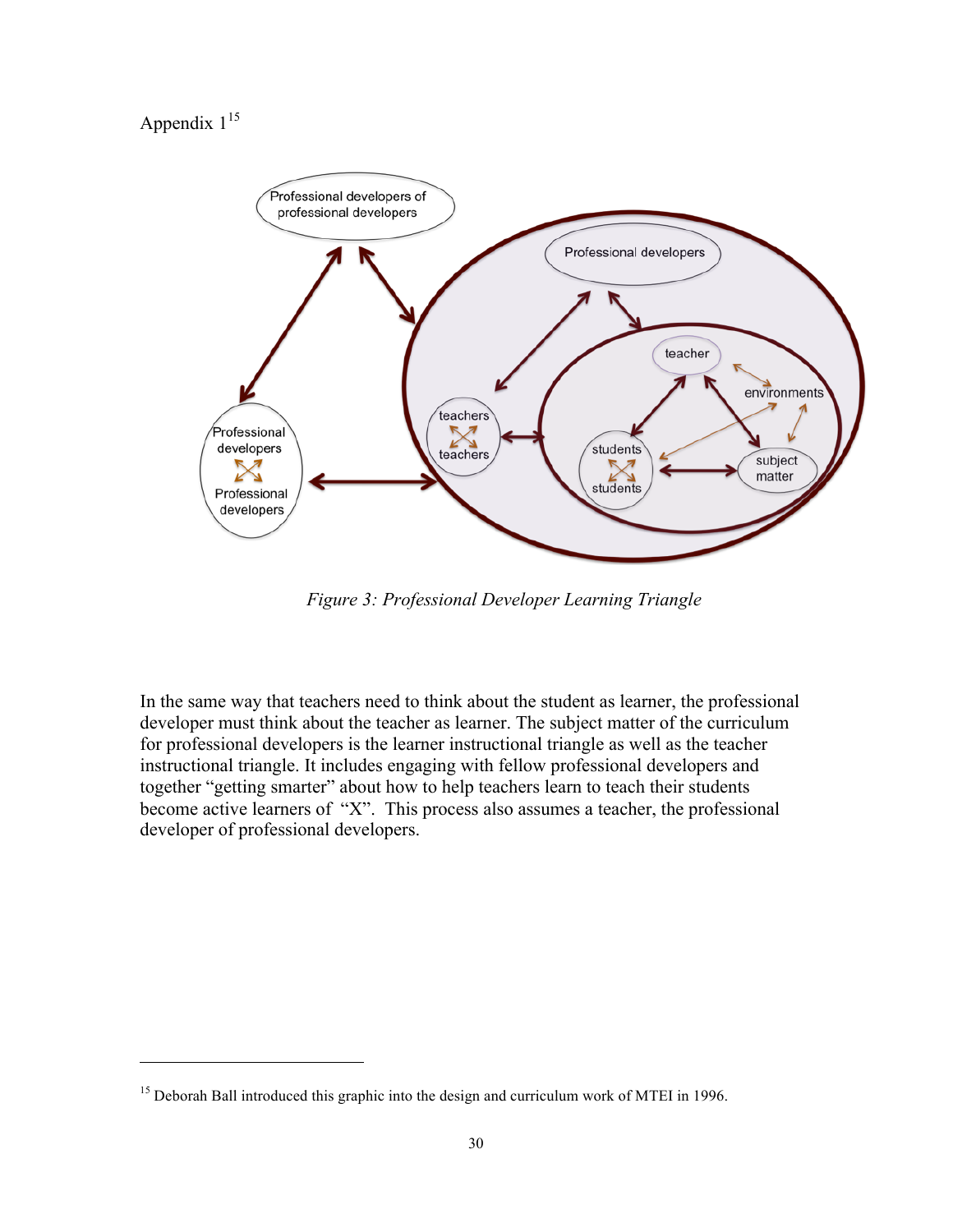# Appendix  $1^{15}$



*Figure 3: Professional Developer Learning Triangle*

In the same way that teachers need to think about the student as learner, the professional developer must think about the teacher as learner. The subject matter of the curriculum for professional developers is the learner instructional triangle as well as the teacher instructional triangle. It includes engaging with fellow professional developers and together "getting smarter" about how to help teachers learn to teach their students become active learners of "X". This process also assumes a teacher, the professional developer of professional developers.

<sup>&</sup>lt;sup>15</sup> Deborah Ball introduced this graphic into the design and curriculum work of MTEI in 1996.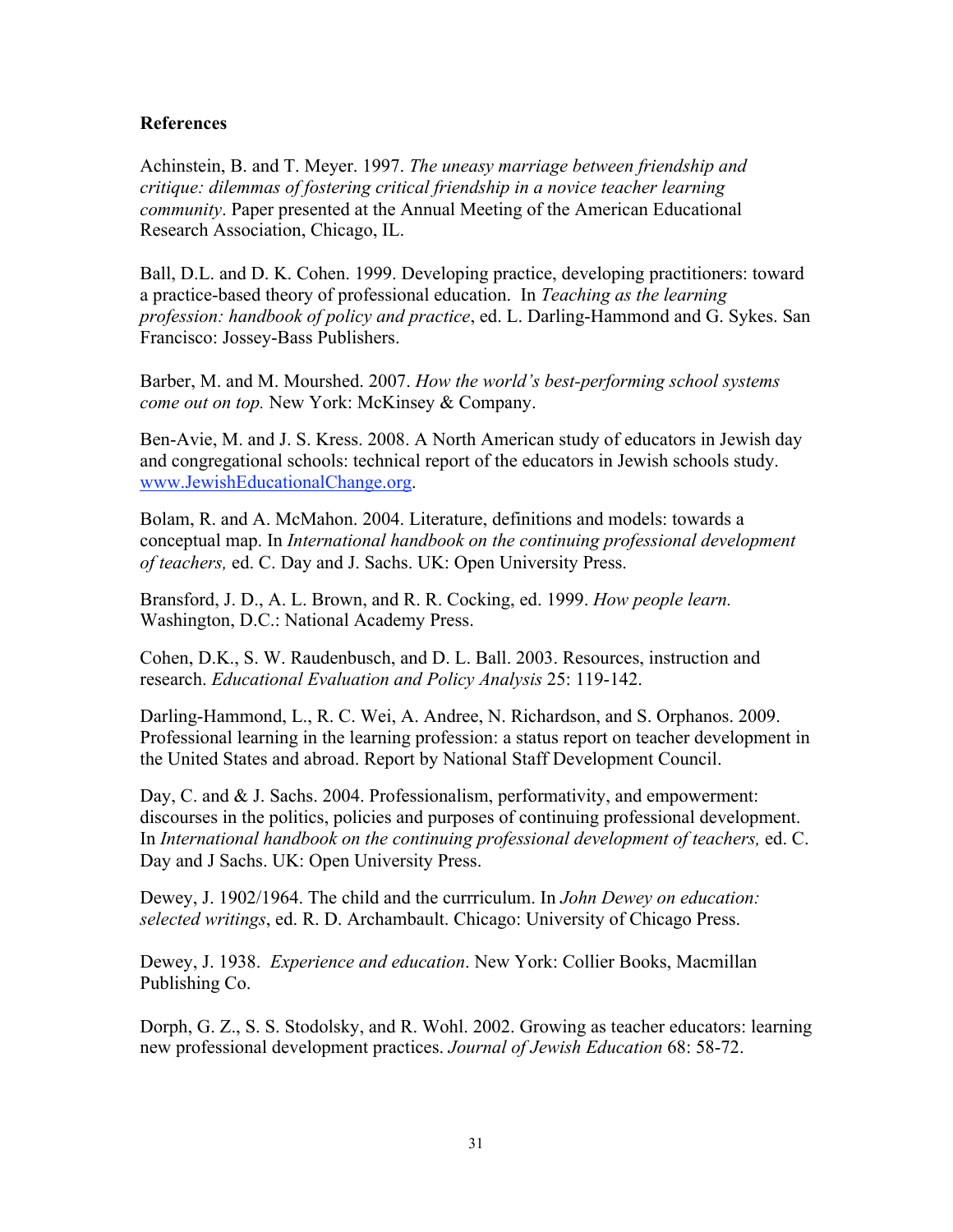# **References**

Achinstein, B. and T. Meyer. 1997. *The uneasy marriage between friendship and critique: dilemmas of fostering critical friendship in a novice teacher learning community*. Paper presented at the Annual Meeting of the American Educational Research Association, Chicago, IL.

Ball, D.L. and D. K. Cohen. 1999. Developing practice, developing practitioners: toward a practice-based theory of professional education. In *Teaching as the learning profession: handbook of policy and practice*, ed. L. Darling-Hammond and G. Sykes. San Francisco: Jossey-Bass Publishers.

Barber, M. and M. Mourshed. 2007. *How the world's best-performing school systems come out on top.* New York: McKinsey & Company.

Ben-Avie, M. and J. S. Kress. 2008. A North American study of educators in Jewish day and congregational schools: technical report of the educators in Jewish schools study. www.JewishEducationalChange.org.

Bolam, R. and A. McMahon. 2004. Literature, definitions and models: towards a conceptual map. In *International handbook on the continuing professional development of teachers,* ed. C. Day and J. Sachs. UK: Open University Press.

Bransford, J. D., A. L. Brown, and R. R. Cocking, ed. 1999. *How people learn.* Washington, D.C.: National Academy Press.

Cohen, D.K., S. W. Raudenbusch, and D. L. Ball. 2003. Resources, instruction and research. *Educational Evaluation and Policy Analysis* 25: 119-142.

Darling-Hammond, L., R. C. Wei, A. Andree, N. Richardson, and S. Orphanos. 2009. Professional learning in the learning profession: a status report on teacher development in the United States and abroad. Report by National Staff Development Council.

Day, C. and & J. Sachs. 2004. Professionalism, performativity, and empowerment: discourses in the politics, policies and purposes of continuing professional development. In *International handbook on the continuing professional development of teachers,* ed. C. Day and J Sachs. UK: Open University Press.

Dewey, J. 1902/1964. The child and the currriculum. In *John Dewey on education: selected writings*, ed. R. D. Archambault. Chicago: University of Chicago Press.

Dewey, J. 1938. *Experience and education*. New York: Collier Books, Macmillan Publishing Co.

Dorph, G. Z., S. S. Stodolsky, and R. Wohl. 2002. Growing as teacher educators: learning new professional development practices. *Journal of Jewish Education* 68: 58-72.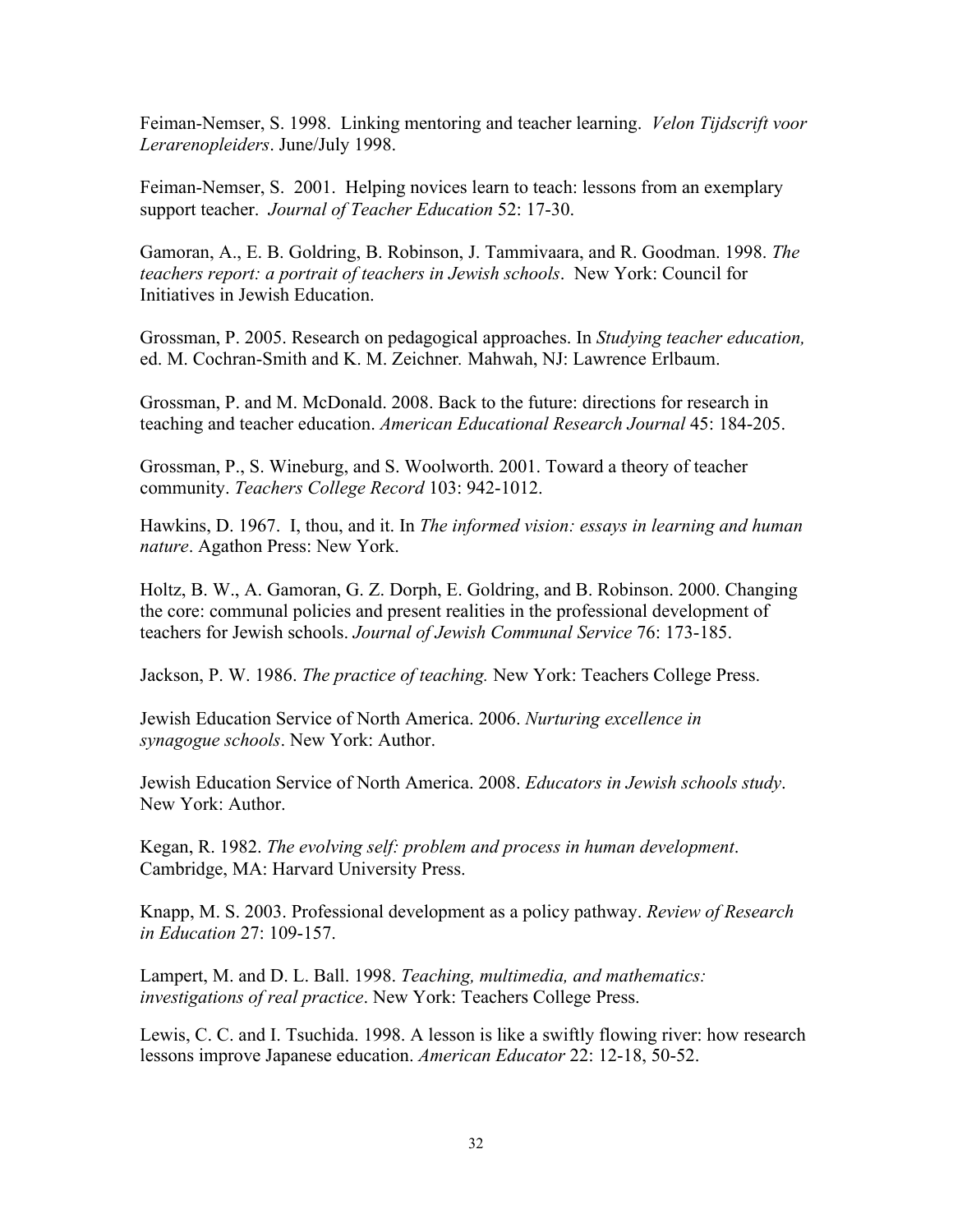Feiman-Nemser, S. 1998. Linking mentoring and teacher learning. *Velon Tijdscrift voor Lerarenopleiders*. June/July 1998.

Feiman-Nemser, S. 2001. Helping novices learn to teach: lessons from an exemplary support teacher. *Journal of Teacher Education* 52: 17-30.

Gamoran, A., E. B. Goldring, B. Robinson, J. Tammivaara, and R. Goodman. 1998. *The teachers report: a portrait of teachers in Jewish schools*. New York: Council for Initiatives in Jewish Education.

Grossman, P. 2005. Research on pedagogical approaches. In *Studying teacher education,*  ed. M. Cochran-Smith and K. M. Zeichner*.* Mahwah, NJ: Lawrence Erlbaum.

Grossman, P. and M. McDonald. 2008. Back to the future: directions for research in teaching and teacher education. *American Educational Research Journal* 45: 184-205.

Grossman, P., S. Wineburg, and S. Woolworth. 2001. Toward a theory of teacher community. *Teachers College Record* 103: 942-1012.

Hawkins, D. 1967. I, thou, and it. In *The informed vision: essays in learning and human nature*. Agathon Press: New York.

Holtz, B. W., A. Gamoran, G. Z. Dorph, E. Goldring, and B. Robinson. 2000. Changing the core: communal policies and present realities in the professional development of teachers for Jewish schools. *Journal of Jewish Communal Service* 76: 173-185.

Jackson, P. W. 1986. *The practice of teaching.* New York: Teachers College Press.

Jewish Education Service of North America. 2006. *Nurturing excellence in synagogue schools*. New York: Author.

Jewish Education Service of North America. 2008. *Educators in Jewish schools study*. New York: Author.

Kegan, R. 1982. *The evolving self: problem and process in human development*. Cambridge, MA: Harvard University Press.

Knapp, M. S. 2003. Professional development as a policy pathway. *Review of Research in Education* 27: 109-157.

Lampert, M. and D. L. Ball. 1998. *Teaching, multimedia, and mathematics: investigations of real practice*. New York: Teachers College Press.

Lewis, C. C. and I. Tsuchida. 1998. A lesson is like a swiftly flowing river: how research lessons improve Japanese education. *American Educator* 22: 12-18, 50-52.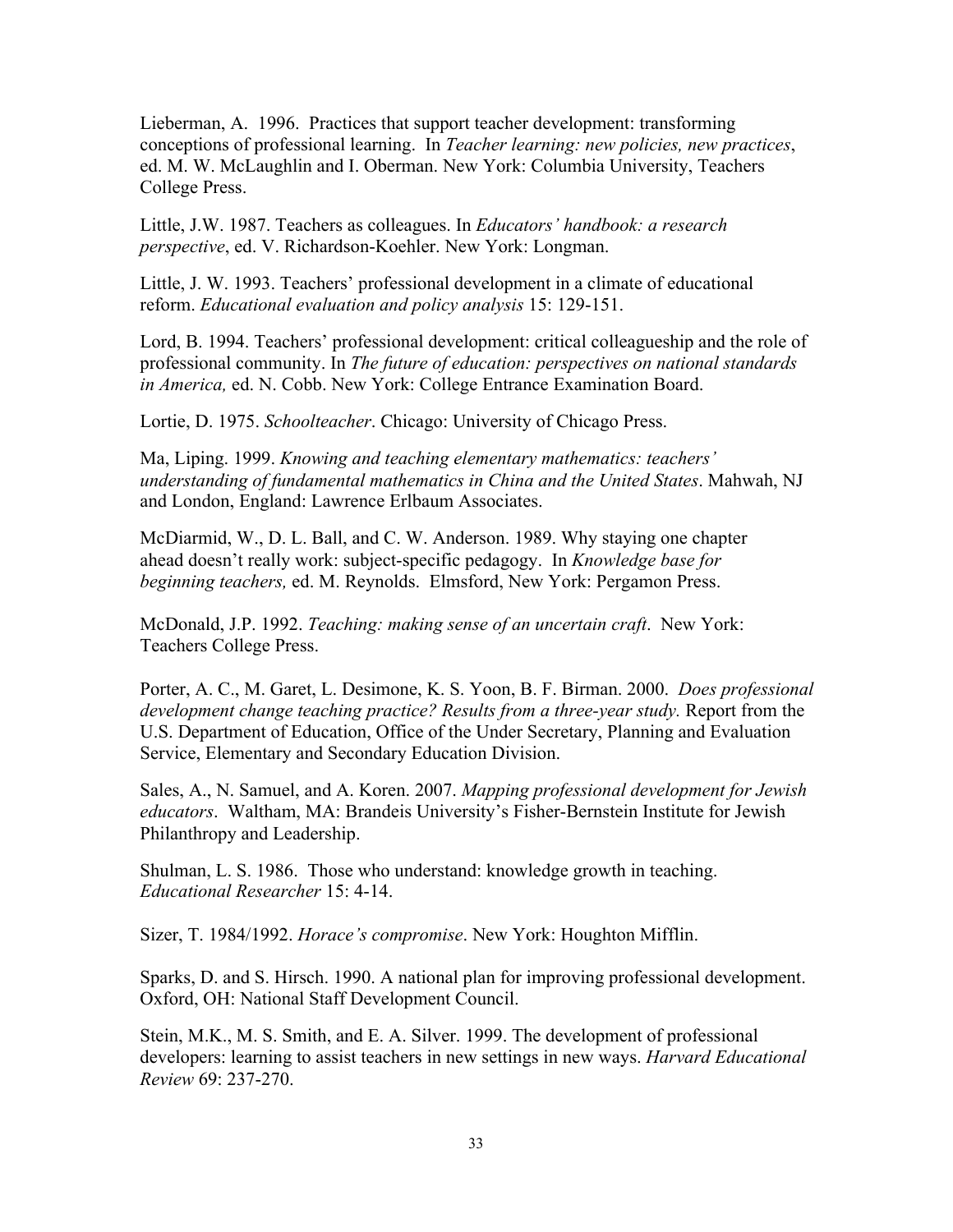Lieberman, A. 1996. Practices that support teacher development: transforming conceptions of professional learning. In *Teacher learning: new policies, new practices*, ed. M. W. McLaughlin and I. Oberman. New York: Columbia University, Teachers College Press.

Little, J.W. 1987. Teachers as colleagues. In *Educators' handbook: a research perspective*, ed. V. Richardson-Koehler. New York: Longman.

Little, J. W. 1993. Teachers' professional development in a climate of educational reform. *Educational evaluation and policy analysis* 15: 129-151.

Lord, B. 1994. Teachers' professional development: critical colleagueship and the role of professional community. In *The future of education: perspectives on national standards in America,* ed. N. Cobb. New York: College Entrance Examination Board.

Lortie, D. 1975. *Schoolteacher*. Chicago: University of Chicago Press.

Ma, Liping. 1999. *Knowing and teaching elementary mathematics: teachers' understanding of fundamental mathematics in China and the United States*. Mahwah, NJ and London, England: Lawrence Erlbaum Associates.

McDiarmid, W., D. L. Ball, and C. W. Anderson. 1989. Why staying one chapter ahead doesn't really work: subject-specific pedagogy. In *Knowledge base for beginning teachers,* ed. M. Reynolds. Elmsford, New York: Pergamon Press.

McDonald, J.P. 1992. *Teaching: making sense of an uncertain craft*. New York: Teachers College Press.

Porter, A. C., M. Garet, L. Desimone, K. S. Yoon, B. F. Birman. 2000. *Does professional development change teaching practice? Results from a three-year study.* Report from the U.S. Department of Education, Office of the Under Secretary, Planning and Evaluation Service, Elementary and Secondary Education Division.

Sales, A., N. Samuel, and A. Koren. 2007. *Mapping professional development for Jewish educators*. Waltham, MA: Brandeis University's Fisher-Bernstein Institute for Jewish Philanthropy and Leadership.

Shulman, L. S. 1986. Those who understand: knowledge growth in teaching. *Educational Researcher* 15: 4-14.

Sizer, T. 1984/1992. *Horace's compromise*. New York: Houghton Mifflin.

Sparks, D. and S. Hirsch. 1990. A national plan for improving professional development. Oxford, OH: National Staff Development Council.

Stein, M.K., M. S. Smith, and E. A. Silver. 1999. The development of professional developers: learning to assist teachers in new settings in new ways. *Harvard Educational Review* 69: 237-270.